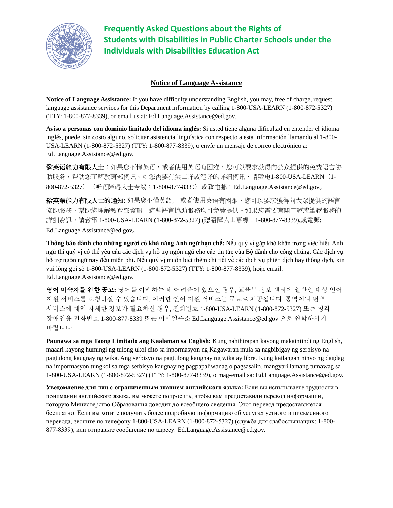

**Frequently Asked Questions about the Rights of Students with Disabilities in Public Charter Schools under the Individuals with Disabilities Education Act**

#### **Notice of Language Assistance**

**Notice of Language Assistance:** If you have difficulty understanding English, you may, free of charge, request language assistance services for this Department information by calling 1-800-USA-LEARN (1-800-872-5327) (TTY: 1-800-877-8339), or email us at: Ed.Language.Assistance@ed.gov.

**Aviso a personas con dominio limitado del idioma inglés:** Si usted tiene alguna dificultad en entender el idioma inglés, puede, sin costo alguno, solicitar asistencia lingüística con respecto a esta información llamando al 1-800- USA-LEARN (1-800-872-5327) (TTY: 1-800-877-8339), o envíe un mensaje de correo electrónico a: Ed.Language.Assistance@ed.gov.

致英语能力有限人士:如果您不懂英语,或者使用英语有困难,您可以要求获得向公众提供的免费语言协 助服务,帮助您了解教育部资讯。如您需要有关口译或笔译的详细资讯,请致电1-800-USA-LEARN (1-800-872-5327) (听语障碍人士专线: 1-800-877-8339) 或致电邮: Ed.Language.Assistance@ed.gov。

給英語能力有限人士的通知**:** 如果您不懂英語, 或者使用英语有困难,您可以要求獲得向大眾提供的語言 協助服務,幫助您理解教育部資訊。這些語言協助服務均可免費提供。如果您需要有關口譯或筆譯服務的 詳細資訊,請致電 1-800-USA-LEARN (1-800-872-5327) (聽語障人士專線:1-800-877-8339),或電郵: Ed.Language.Assistance@ed.gov。

**Thông báo dành cho những người có khả năng Anh ngữ hạn chế:** Nếu quý vị gặp khó khăn trong việc hiểu Anh ngữ thì quý vị có thể yêu cầu các dịch vụ hỗ trợ ngôn ngữ cho các tin tức của Bộ dành cho công chúng. Các dịch vụ hỗ trợ ngôn ngữ này đều miễn phí. Nếu quý vị muốn biết thêm chi tiết về các dịch vụ phiên dịch hay thông dịch, xin vui lòng gọi số 1-800-USA-LEARN (1-800-872-5327) (TTY: 1-800-877-8339), hoặc email: Ed.Language.Assistance@ed.gov.

영어 미숙자를 위한 공고**:** 영어를 이해하는 데 어려움이 있으신 경우, 교육부 정보 센터에 일반인 대상 언어 지원 서비스를 요청하실 수 있습니다. 이러한 언어 지원 서비스는 무료로 제공됩니다. 통역이나 번역 서비스에 대해 자세한 정보가 필요하신 경우, 전화번호 1-800-USA-LEARN (1-800-872-5327) 또는 청각 장애인용 전화번호 1-800-877-8339 또는 이메일주소 Ed.Language.Assistance@ed.gov 으로 연락하시기 바랍니다.

**Paunawa sa mga Taong Limitado ang Kaalaman sa English:** Kung nahihirapan kayong makaintindi ng English, maaari kayong humingi ng tulong ukol dito sa inpormasyon ng Kagawaran mula sa nagbibigay ng serbisyo na pagtulong kaugnay ng wika. Ang serbisyo na pagtulong kaugnay ng wika ay libre. Kung kailangan ninyo ng dagdag na impormasyon tungkol sa mga serbisyo kaugnay ng pagpapaliwanag o pagsasalin, mangyari lamang tumawag sa 1-800-USA-LEARN (1-800-872-5327) (TTY: 1-800-877-8339), o mag-email sa: Ed.Language.Assistance@ed.gov.

**Уведомление для лиц с ограниченным знанием английского языка:** Если вы испытываете трудности в понимании английского языка, вы можете попросить, чтобы вам предоставили перевод информации, которую Министерство Образования доводит до всеобщего сведения. Этот перевод предоставляется бесплатно. Если вы хотите получить более подробную информацию об услугах устного и письменного перевода, звоните по телефону 1-800-USA-LEARN (1-800-872-5327) (служба для слабослышащих: 1-800- 877-8339), или отправьте сообщение по адресу: Ed.Language.Assistance@ed.gov.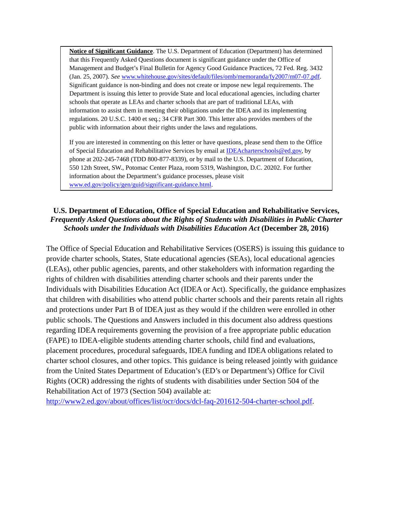**Notice of Significant Guidance**. The U.S. Department of Education (Department) has determined that this Frequently Asked Questions document is significant guidance under the Office of Management and Budget's Final Bulletin for Agency Good Guidance Practices, 72 Fed. Reg. 3432 (Jan. 25, 2007). *See* [www.whitehouse.gov/sites/default/files/omb/memoranda/fy2007/m07-07.pdf.](http://www.whitehouse.gov/sites/default/files/omb/memoranda/fy2007/m07-07.pdf)  Significant guidance is non-binding and does not create or impose new legal requirements. The Department is issuing this letter to provide State and local educational agencies, including charter schools that operate as LEAs and charter schools that are part of traditional LEAs, with information to assist them in meeting their obligations under the IDEA and its implementing regulations. 20 U.S.C. 1400 et seq.; 34 CFR Part 300. This letter also provides members of the public with information about their rights under the laws and regulations.

If you are interested in commenting on this letter or have questions, please send them to the Office of Special Education and Rehabilitative Services by email a[t IDEAcharterschools@ed.gov,](mailto:IDEAcharterschools@ed.gov) by phone at 202-245-7468 (TDD 800-877-8339), or by mail to the U.S. Department of Education, 550 12th Street, SW., Potomac Center Plaza, room 5319, Washington, D.C. 20202. For further information about the Department's guidance processes, please visit [www.ed.gov/policy/gen/guid/significant-guidance.html.](http://www.ed.gov/policy/gen/guid/significant-guidance.html)

## **U.S. Department of Education, Office of Special Education and Rehabilitative Services,**  *Frequently Asked Questions about the Rights of Students with Disabilities in Public Charter Schools under the Individuals with Disabilities Education Act* **(December 28, 2016)**

The Office of Special Education and Rehabilitative Services (OSERS) is issuing this guidance to provide charter schools, States, State educational agencies (SEAs), local educational agencies (LEAs), other public agencies, parents, and other stakeholders with information regarding the rights of children with disabilities attending charter schools and their parents under the Individuals with Disabilities Education Act (IDEA or Act). Specifically, the guidance emphasizes that children with disabilities who attend public charter schools and their parents retain all rights and protections under Part B of IDEA just as they would if the children were enrolled in other public schools. The Questions and Answers included in this document also address questions regarding IDEA requirements governing the provision of a free appropriate public education (FAPE) to IDEA-eligible students attending charter schools, child find and evaluations, placement procedures, procedural safeguards, IDEA funding and IDEA obligations related to charter school closures, and other topics. This guidance is being released jointly with guidance from the United States Department of Education's (ED's or Department's) Office for Civil Rights (OCR) addressing the rights of students with disabilities under Section 504 of the Rehabilitation Act of 1973 (Section 504) available at:

[http://www2.ed.gov/about/offices/list/ocr/docs/dcl-faq-201612-504-charter-school.pdf.](http://www2.ed.gov/about/offices/list/ocr/docs/dcl-faq-201612-504-charter-school.pdf)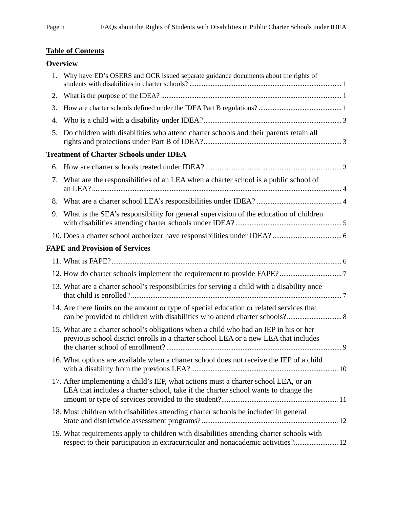# <span id="page-2-0"></span>**Table of Content[s](#page-2-0)**

# **[Overview](#page-5-0)**

| 1. | Why have ED's OSERS and OCR issued separate guidance documents about the rights of                                                                                           |  |
|----|------------------------------------------------------------------------------------------------------------------------------------------------------------------------------|--|
| 2. |                                                                                                                                                                              |  |
| 3. |                                                                                                                                                                              |  |
| 4. |                                                                                                                                                                              |  |
| 5. | Do children with disabilities who attend charter schools and their parents retain all                                                                                        |  |
|    | <b>Treatment of Charter Schools under IDEA</b>                                                                                                                               |  |
|    |                                                                                                                                                                              |  |
| 7. | What are the responsibilities of an LEA when a charter school is a public school of                                                                                          |  |
| 8. |                                                                                                                                                                              |  |
| 9. | What is the SEA's responsibility for general supervision of the education of children                                                                                        |  |
|    |                                                                                                                                                                              |  |
|    | <b>FAPE and Provision of Services</b>                                                                                                                                        |  |
|    |                                                                                                                                                                              |  |
|    |                                                                                                                                                                              |  |
|    | 13. What are a charter school's responsibilities for serving a child with a disability once                                                                                  |  |
|    | 14. Are there limits on the amount or type of special education or related services that                                                                                     |  |
|    | 15. What are a charter school's obligations when a child who had an IEP in his or her<br>previous school district enrolls in a charter school LEA or a new LEA that includes |  |
|    | 16. What options are available when a charter school does not receive the IEP of a child                                                                                     |  |
|    | 17. After implementing a child's IEP, what actions must a charter school LEA, or an<br>LEA that includes a charter school, take if the charter school wants to change the    |  |
|    | 18. Must children with disabilities attending charter schools be included in general                                                                                         |  |
|    | 19. What requirements apply to children with disabilities attending charter schools with<br>respect to their participation in extracurricular and nonacademic activities? 12 |  |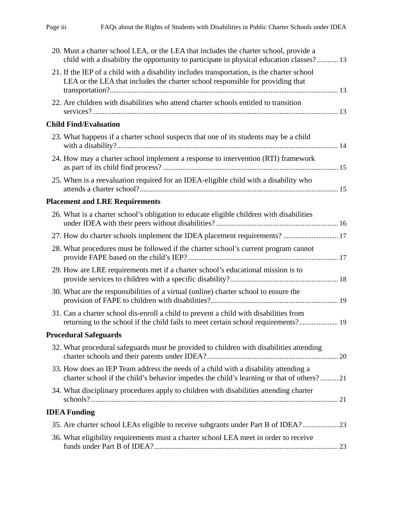| 20. Must a charter school LEA, or the LEA that includes the charter school, provide a<br>child with a disability the opportunity to participate in physical education classes? 13 |
|-----------------------------------------------------------------------------------------------------------------------------------------------------------------------------------|
| 21. If the IEP of a child with a disability includes transportation, is the charter school<br>LEA or the LEA that includes the charter school responsible for providing that      |
| 22. Are children with disabilities who attend charter schools entitled to transition                                                                                              |
| <b>Child Find/Evaluation</b>                                                                                                                                                      |
| 23. What happens if a charter school suspects that one of its students may be a child                                                                                             |
| 24. How may a charter school implement a response to intervention (RTI) framework                                                                                                 |
| 25. When is a reevaluation required for an IDEA-eligible child with a disability who                                                                                              |
| <b>Placement and LRE Requirements</b>                                                                                                                                             |
| 26. What is a charter school's obligation to educate eligible children with disabilities                                                                                          |
| 27. How do charter schools implement the IDEA placement requirements?  17                                                                                                         |
| 28. What procedures must be followed if the charter school's current program cannot                                                                                               |
| 29. How are LRE requirements met if a charter school's educational mission is to                                                                                                  |
| 30. What are the responsibilities of a virtual (online) charter school to ensure the                                                                                              |
| 31. Can a charter school dis-enroll a child to prevent a child with disabilities from<br>returning to the school if the child fails to meet certain school requirements? 19       |
| <b>Procedural Safeguards</b>                                                                                                                                                      |
| 32. What procedural safeguards must be provided to children with disabilities attending                                                                                           |
| 33. How does an IEP Team address the needs of a child with a disability attending a<br>charter school if the child's behavior impedes the child's learning or that of others? 21  |
| 34. What disciplinary procedures apply to children with disabilities attending charter                                                                                            |
| <b>IDEA Funding</b>                                                                                                                                                               |
| 35. Are charter school LEAs eligible to receive subgrants under Part B of IDEA?                                                                                                   |
| 36. What eligibility requirements must a charter school LEA meet in order to receive                                                                                              |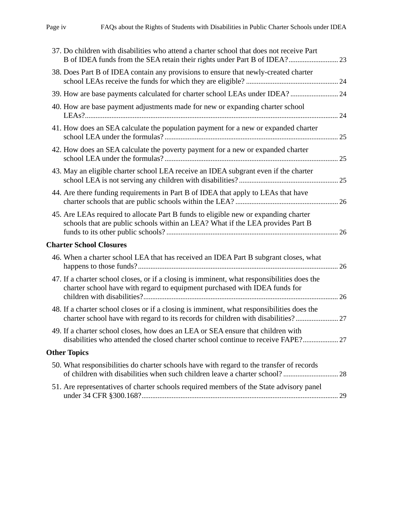| 37. Do children with disabilities who attend a charter school that does not receive Part                                                                                       |    |
|--------------------------------------------------------------------------------------------------------------------------------------------------------------------------------|----|
| 38. Does Part B of IDEA contain any provisions to ensure that newly-created charter                                                                                            |    |
| 39. How are base payments calculated for charter school LEAs under IDEA?  24                                                                                                   |    |
| 40. How are base payment adjustments made for new or expanding charter school                                                                                                  |    |
| 41. How does an SEA calculate the population payment for a new or expanded charter                                                                                             |    |
| 42. How does an SEA calculate the poverty payment for a new or expanded charter                                                                                                |    |
| 43. May an eligible charter school LEA receive an IDEA subgrant even if the charter                                                                                            |    |
| 44. Are there funding requirements in Part B of IDEA that apply to LEAs that have                                                                                              |    |
| 45. Are LEAs required to allocate Part B funds to eligible new or expanding charter<br>schools that are public schools within an LEA? What if the LEA provides Part B          |    |
| <b>Charter School Closures</b>                                                                                                                                                 |    |
| 46. When a charter school LEA that has received an IDEA Part B subgrant closes, what                                                                                           |    |
| 47. If a charter school closes, or if a closing is imminent, what responsibilities does the<br>charter school have with regard to equipment purchased with IDEA funds for      |    |
| 48. If a charter school closes or if a closing is imminent, what responsibilities does the<br>charter school have with regard to its records for children with disabilities?27 |    |
| 49. If a charter school closes, how does an LEA or SEA ensure that children with<br>disabilities who attended the closed charter school continue to receive FAPE?              |    |
| <b>Other Topics</b>                                                                                                                                                            |    |
| 50. What responsibilities do charter schools have with regard to the transfer of records                                                                                       |    |
| 51. Are representatives of charter schools required members of the State advisory panel                                                                                        | 29 |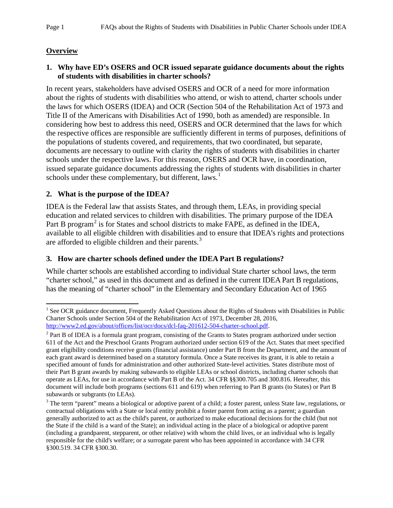# <span id="page-5-0"></span>**Overview**

## <span id="page-5-1"></span>**1. Why have ED's OSERS and OCR issued separate guidance documents about the rights of students with disabilities in charter schools?**

In recent years, stakeholders have advised OSERS and OCR of a need for more information about the rights of students with disabilities who attend, or wish to attend, charter schools under the laws for which OSERS (IDEA) and OCR (Section 504 of the Rehabilitation Act of 1973 and Title II of the Americans with Disabilities Act of 1990, both as amended) are responsible. In considering how best to address this need, OSERS and OCR determined that the laws for which the respective offices are responsible are sufficiently different in terms of purposes, definitions of the populations of students covered, and requirements, that two coordinated, but separate, documents are necessary to outline with clarity the rights of students with disabilities in charter schools under the respective laws. For this reason, OSERS and OCR have, in coordination, issued separate guidance documents addressing the rights of students with disabilities in charter schools under these complementary, but different, laws.<sup>[1](#page-5-4)</sup>

## <span id="page-5-2"></span>**2. What is the purpose of the IDEA?**

IDEA is the Federal law that assists States, and through them, LEAs, in providing special education and related services to children with disabilities. The primary purpose of the IDEA Part B program<sup>[2](#page-5-5)</sup> is for States and school districts to make FAPE, as defined in the IDEA, available to all eligible children with disabilities and to ensure that IDEA's rights and protections are afforded to eligible children and their parents.<sup>[3](#page-5-6)</sup>

# <span id="page-5-3"></span>**3. How are charter schools defined under the IDEA Part B regulations?**

While charter schools are established according to individual State charter school laws, the term "charter school," as used in this document and as defined in the current IDEA Part B regulations, has the meaning of "charter school" in the Elementary and Secondary Education Act of 1965

<span id="page-5-4"></span><sup>&</sup>lt;sup>1</sup> See OCR guidance document, Frequently Asked Questions about the Rights of Students with Disabilities in Public Charter Schools under Section 504 of the Rehabilitation Act of 1973, December 28, 2016, [http://www2.ed.gov/about/offices/list/ocr/docs/dcl-faq-201612-504-charter-school.pdf.](http://www2.ed.gov/about/offices/list/ocr/docs/dcl-faq-201612-504-charter-school.pdf)  $\overline{\phantom{a}}$ 

<span id="page-5-5"></span> $2$  Part B of IDEA is a formula grant program, consisting of the Grants to States program authorized under section 611 of the Act and the Preschool Grants Program authorized under section 619 of the Act. States that meet specified grant eligibility conditions receive grants (financial assistance) under Part B from the Department, and the amount of each grant award is determined based on a statutory formula. Once a State receives its grant, it is able to retain a specified amount of funds for administration and other authorized State-level activities. States distribute most of their Part B grant awards by making subawards to eligible LEAs or school districts, including charter schools that operate as LEAs, for use in accordance with Part B of the Act. 34 CFR §§300.705 and 300.816. Hereafter, this document will include both programs (sections 611 and 619) when referring to Part B grants (to States) or Part B subawards or subgrants (to LEAs).

<span id="page-5-6"></span><sup>&</sup>lt;sup>3</sup> The term "parent" means a biological or adoptive parent of a child; a foster parent, unless State law, regulations, or contractual obligations with a State or local entity prohibit a foster parent from acting as a parent; a guardian generally authorized to act as the child's parent, or authorized to make educational decisions for the child (but not the State if the child is a ward of the State); an individual acting in the place of a biological or adoptive parent (including a grandparent, stepparent, or other relative) with whom the child lives, or an individual who is legally responsible for the child's welfare; or a surrogate parent who has been appointed in accordance with 34 CFR §300.519. 34 CFR §300.30.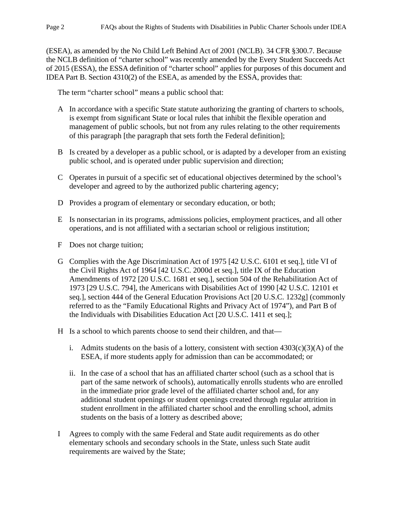(ESEA), as amended by the No Child Left Behind Act of 2001 (NCLB). 34 CFR §300.7. Because the NCLB definition of "charter school" was recently amended by the Every Student Succeeds Act of 2015 (ESSA), the ESSA definition of "charter school" applies for purposes of this document and IDEA Part B. Section 4310(2) of the ESEA, as amended by the ESSA, provides that:

The term "charter school" means a public school that:

- A In accordance with a specific State statute authorizing the granting of charters to schools, is exempt from significant State or local rules that inhibit the flexible operation and management of public schools, but not from any rules relating to the other requirements of this paragraph [the paragraph that sets forth the Federal definition];
- B Is created by a developer as a public school, or is adapted by a developer from an existing public school, and is operated under public supervision and direction;
- C Operates in pursuit of a specific set of educational objectives determined by the school's developer and agreed to by the authorized public chartering agency;
- D Provides a program of elementary or secondary education, or both;
- E Is nonsectarian in its programs, admissions policies, employment practices, and all other operations, and is not affiliated with a sectarian school or religious institution;
- F Does not charge tuition;
- G Complies with the Age Discrimination Act of 1975 [\[42 U.S.C. 6101](https://www.law.cornell.edu/uscode/text/42/6101) et seq.], title VI of the Civil Rights Act of 1964 [\[42 U.S.C. 2000d](https://www.law.cornell.edu/uscode/text/42/2000d) et seq.], title IX of the Education Amendments of 1972 [\[20 U.S.C. 1681](https://www.law.cornell.edu/uscode/text/20/1681) et seq.], section 504 of the Rehabilitation Act of 1973 [\[29 U.S.C. 794\]](https://www.law.cornell.edu/uscode/text/29/794), the Americans with Disabilities Act of 1990 [42 [U.S.C.](https://www.law.cornell.edu/uscode/text/42/12101) 12101 et seq.], [section 444 of the General Education Provisions Act \[20](https://www.law.cornell.edu/uscode/text/20/1232g) U.S.C. 1232g] (commonly referred to as the "Family Educational Rights and Privacy Act of 1974"), and Part B of the Individuals with Disabilities Education Act [\[20 U.S.C. 1411](https://www.law.cornell.edu/uscode/text/20/1411) et seq.];
- H Is a school to which parents choose to send their children, and that
	- i. Admits students on the basis of a lottery, consistent with section  $4303(c)(3)(A)$  of the [ESEA,](https://www.law.cornell.edu/uscode/text/20/lii:usc:t:20:s:7221b:c:3:A) if more students apply for admission than can be accommodated; or
	- ii. In the case of a school that has an affiliated charter school (such as a school that is part of the same network of schools), automatically enrolls students who are enrolled in the immediate prior grade level of the affiliated charter school and, for any additional student openings or student openings created through regular attrition in student enrollment in the affiliated charter school and the enrolling school, admits students on the basis of a lottery as described above;
- I Agrees to comply with the same Federal and State audit requirements as do other elementary schools and secondary schools in the State, unless such State audit requirements are waived by the State;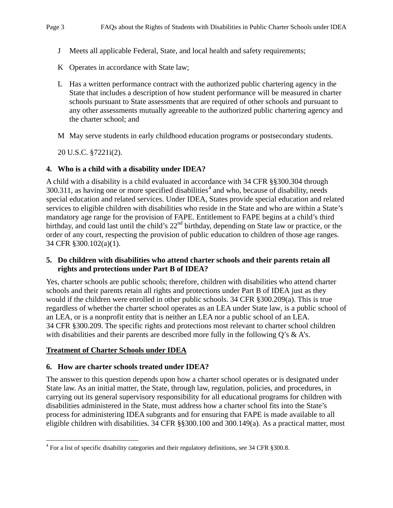- J Meets all applicable Federal, State, and local health and safety requirements;
- K Operates in accordance with State law;
- L Has a written performance contract with the authorized public chartering agency in the State that includes a description of how student performance will be measured in charter schools pursuant to State assessments that are required of other schools and pursuant to any other assessments mutually agreeable to the authorized public chartering agency and the charter school; and
- M May serve students in early childhood education programs or postsecondary students.
- 20 U.S.C. §7221i(2).

### <span id="page-7-0"></span>**4. Who is a child with a disability under IDEA?**

A child with a disability is a child evaluated in accordance with 34 CFR §§300.304 through  $300.311$ , as having one or more specified disabilities<sup>[4](#page-7-4)</sup> and who, because of disability, needs special education and related services. Under IDEA, States provide special education and related services to eligible children with disabilities who reside in the State and who are within a State's mandatory age range for the provision of FAPE. Entitlement to FAPE begins at a child's third birthday, and could last until the child's 22<sup>nd</sup> birthday, depending on State law or practice, or the order of any court, respecting the provision of public education to children of those age ranges. 34 CFR §300.102(a)(1).

### <span id="page-7-1"></span>**5. Do children with disabilities who attend charter schools and their parents retain all rights and protections under Part B of IDEA?**

Yes, charter schools are public schools; therefore, children with disabilities who attend charter schools and their parents retain all rights and protections under Part B of IDEA just as they would if the children were enrolled in other public schools. 34 CFR §300.209(a). This is true regardless of whether the charter school operates as an LEA under State law, is a public school of an LEA, or is a nonprofit entity that is neither an LEA nor a public school of an LEA. 34 CFR §300.209. The specific rights and protections most relevant to charter school children with disabilities and their parents are described more fully in the following  $Q$ 's & A's.

#### <span id="page-7-3"></span><span id="page-7-2"></span>**Treatment of Charter Schools under IDEA**

 $\overline{\phantom{a}}$ 

#### **6. How are charter schools treated under IDEA?**

The answer to this question depends upon how a charter school operates or is designated under State law. As an initial matter, the State, through law, regulation, policies, and procedures, in carrying out its general supervisory responsibility for all educational programs for children with disabilities administered in the State, must address how a charter school fits into the State's process for administering IDEA subgrants and for ensuring that FAPE is made available to all eligible children with disabilities. 34 CFR §§300.100 and 300.149(a). As a practical matter, most

<span id="page-7-4"></span><sup>&</sup>lt;sup>4</sup> For a list of specific disability categories and their regulatory definitions, see 34 CFR §300.8.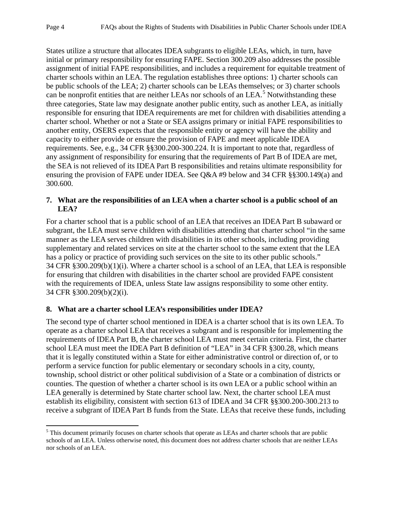States utilize a structure that allocates IDEA subgrants to eligible LEAs, which, in turn, have initial or primary responsibility for ensuring FAPE. Section 300.209 also addresses the possible assignment of initial FAPE responsibilities, and includes a requirement for equitable treatment of charter schools within an LEA. The regulation establishes three options: 1) charter schools can be public schools of the LEA; 2) charter schools can be LEAs themselves; or 3) charter schools can be nonprofit entities that are neither LEAs nor schools of an LEA.<sup>[5](#page-8-2)</sup> Notwithstanding these three categories, State law may designate another public entity, such as another LEA, as initially responsible for ensuring that IDEA requirements are met for children with disabilities attending a charter school. Whether or not a State or SEA assigns primary or initial FAPE responsibilities to another entity, OSERS expects that the responsible entity or agency will have the ability and capacity to either provide or ensure the provision of FAPE and meet applicable IDEA requirements. See, e.g., 34 CFR §§300.200-300.224. It is important to note that, regardless of any assignment of responsibility for ensuring that the requirements of Part B of IDEA are met, the SEA is not relieved of its IDEA Part B responsibilities and retains ultimate responsibility for ensuring the provision of FAPE under IDEA. See Q&A #9 below and 34 CFR §§300.149(a) and 300.600.

## <span id="page-8-0"></span>**7. What are the responsibilities of an LEA when a charter school is a public school of an LEA?**

For a charter school that is a public school of an LEA that receives an IDEA Part B subaward or subgrant, the LEA must serve children with disabilities attending that charter school "in the same manner as the LEA serves children with disabilities in its other schools, including providing supplementary and related services on site at the charter school to the same extent that the LEA has a policy or practice of providing such services on the site to its other public schools." 34 CFR §300.209(b)(1)(i). Where a charter school is a school of an LEA, that LEA is responsible for ensuring that children with disabilities in the charter school are provided FAPE consistent with the requirements of IDEA, unless State law assigns responsibility to some other entity. 34 CFR §300.209(b)(2)(i).

# <span id="page-8-1"></span>**8. What are a charter school LEA's responsibilities under IDEA?**

The second type of charter school mentioned in IDEA is a charter school that is its own LEA. To operate as a charter school LEA that receives a subgrant and is responsible for implementing the requirements of IDEA Part B, the charter school LEA must meet certain criteria. First, the charter school LEA must meet the IDEA Part B definition of "LEA" in 34 CFR §300.28, which means that it is legally constituted within a State for either administrative control or direction of, or to perform a service function for public elementary or secondary schools in a city, county, township, school district or other political subdivision of a State or a combination of districts or counties. The question of whether a charter school is its own LEA or a public school within an LEA generally is determined by State charter school law. Next, the charter school LEA must establish its eligibility, consistent with section 613 of IDEA and 34 CFR §§300.200-300.213 to receive a subgrant of IDEA Part B funds from the State. LEAs that receive these funds, including

<span id="page-8-2"></span><sup>&</sup>lt;sup>5</sup> This document primarily focuses on charter schools that operate as LEAs and charter schools that are public schools of an LEA. Unless otherwise noted, this document does not address charter schools that are neither LEAs nor schools of an LEA. l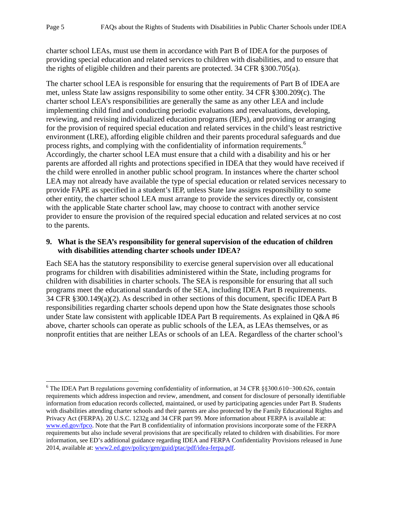charter school LEAs, must use them in accordance with Part B of IDEA for the purposes of providing special education and related services to children with disabilities, and to ensure that the rights of eligible children and their parents are protected. 34 CFR §300.705(a).

The charter school LEA is responsible for ensuring that the requirements of Part B of IDEA are met, unless State law assigns responsibility to some other entity. 34 CFR §300.209(c). The charter school LEA's responsibilities are generally the same as any other LEA and include implementing child find and conducting periodic evaluations and reevaluations, developing, reviewing, and revising individualized education programs (IEPs), and providing or arranging for the provision of required special education and related services in the child's least restrictive environment (LRE), affording eligible children and their parents procedural safeguards and due process rights, and complying with the confidentiality of information requirements.<sup>[6](#page-9-1)</sup> Accordingly, the charter school LEA must ensure that a child with a disability and his or her parents are afforded all rights and protections specified in IDEA that they would have received if the child were enrolled in another public school program. In instances where the charter school LEA may not already have available the type of special education or related services necessary to provide FAPE as specified in a student's IEP, unless State law assigns responsibility to some other entity, the charter school LEA must arrange to provide the services directly or, consistent with the applicable State charter school law, may choose to contract with another service provider to ensure the provision of the required special education and related services at no cost to the parents.

## <span id="page-9-0"></span>**9. What is the SEA's responsibility for general supervision of the education of children with disabilities attending charter schools under IDEA?**

Each SEA has the statutory responsibility to exercise general supervision over all educational programs for children with disabilities administered within the State, including programs for children with disabilities in charter schools. The SEA is responsible for ensuring that all such programs meet the educational standards of the SEA, including IDEA Part B requirements. 34 CFR §300.149(a)(2). As described in other sections of this document, specific IDEA Part B responsibilities regarding charter schools depend upon how the State designates those schools under State law consistent with applicable IDEA Part B requirements. As explained in Q&A #6 above, charter schools can operate as public schools of the LEA, as LEAs themselves, or as nonprofit entities that are neither LEAs or schools of an LEA. Regardless of the charter school's

<span id="page-9-1"></span><sup>6</sup> The IDEA Part B regulations governing confidentiality of information, at 34 CFR §§300.610−300.626, contain requirements which address inspection and review, amendment, and consent for disclosure of personally identifiable information from education records collected, maintained, or used by participating agencies under Part B. Students with disabilities attending charter schools and their parents are also protected by the Family Educational Rights and Privacy Act (FERPA). 20 U.S.C. 1232g and 34 CFR part 99. More information about FERPA is available at: [www.ed.gov/fpco.](http://www.ed.gov/fpco) Note that the Part B confidentiality of information provisions incorporate some of the FERPA requirements but also include several provisions that are specifically related to children with disabilities. For more information, see ED's additional guidance regarding IDEA and FERPA Confidentiality Provisions released in June 2014, available at: www2.ed.gov/policy/gen/guid/ptac/pdf/idea-ferpa.pdf.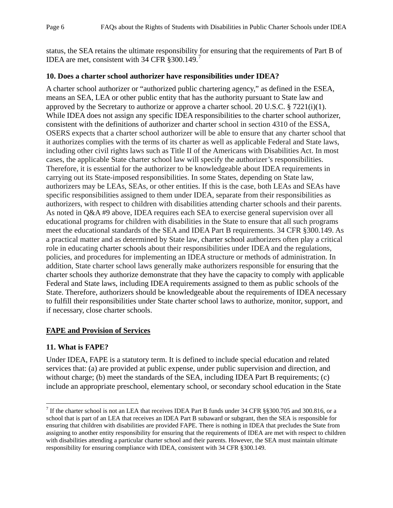status, the SEA retains the ultimate responsibility for ensuring that the requirements of Part B of IDEA are met, consistent with 34 CFR §300.149.<sup>[7](#page-10-3)</sup>

### <span id="page-10-0"></span>**10. Does a charter school authorizer have responsibilities under IDEA?**

A charter school authorizer or "authorized public chartering agency," as defined in the ESEA, means an SEA, LEA or other public entity that has the authority pursuant to State law and approved by the Secretary to authorize or approve a charter school. 20 U.S.C.  $\S 7221(i)(1)$ . While IDEA does not assign any specific IDEA responsibilities to the charter school authorizer, consistent with the definitions of authorizer and charter school in section 4310 of the ESSA, OSERS expects that a charter school authorizer will be able to ensure that any charter school that it authorizes complies with the terms of its charter as well as applicable Federal and State laws, including other civil rights laws such as Title II of the Americans with Disabilities Act. In most cases, the applicable State charter school law will specify the authorizer's responsibilities. Therefore, it is essential for the authorizer to be knowledgeable about IDEA requirements in carrying out its State-imposed responsibilities. In some States, depending on State law, authorizers may be LEAs, SEAs, or other entities. If this is the case, both LEAs and SEAs have specific responsibilities assigned to them under IDEA, separate from their responsibilities as authorizers, with respect to children with disabilities attending charter schools and their parents. As noted in Q&A #9 above, IDEA requires each SEA to exercise general supervision over all educational programs for children with disabilities in the State to ensure that all such programs meet the educational standards of the SEA and IDEA Part B requirements. 34 CFR §300.149. As a practical matter and as determined by State law, charter school authorizers often play a critical role in educating charter schools about their responsibilities under IDEA and the regulations, policies, and procedures for implementing an IDEA structure or methods of administration. In addition, State charter school laws generally make authorizers responsible for ensuring that the charter schools they authorize demonstrate that they have the capacity to comply with applicable Federal and State laws, including IDEA requirements assigned to them as public schools of the State. Therefore, authorizers should be knowledgeable about the requirements of IDEA necessary to fulfill their responsibilities under State charter school laws to authorize, monitor, support, and if necessary, close charter schools.

## <span id="page-10-1"></span>**FAPE and Provision of Services**

## <span id="page-10-2"></span>**11. What is FAPE?**

Under IDEA, FAPE is a statutory term. It is defined to include special education and related services that: (a) are provided at public expense, under public supervision and direction, and without charge; (b) meet the standards of the SEA, including IDEA Part B requirements; (c) include an appropriate preschool, elementary school, or secondary school education in the State

<span id="page-10-3"></span><sup>&</sup>lt;sup>7</sup> If the charter school is not an LEA that receives IDEA Part B funds under 34 CFR §§300.705 and 300.816, or a school that is part of an LEA that receives an IDEA Part B subaward or subgrant, then the SEA is responsible for ensuring that children with disabilities are provided FAPE. There is nothing in IDEA that precludes the State from assigning to another entity responsibility for ensuring that the requirements of IDEA are met with respect to children with disabilities attending a particular charter school and their parents. However, the SEA must maintain ultimate responsibility for ensuring compliance with IDEA, consistent with 34 CFR §300.149.  $\overline{\phantom{a}}$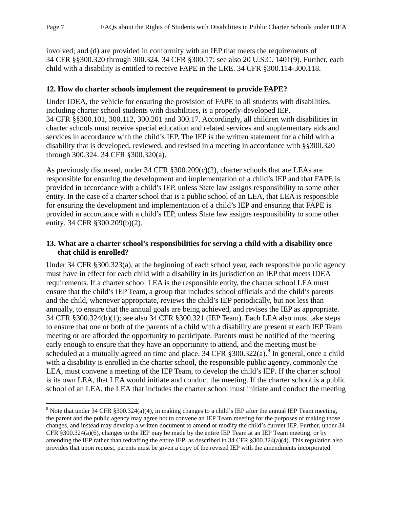involved; and (d) are provided in conformity with an IEP that meets the requirements of 34 CFR §§300.320 through 300.324. 34 CFR §300.17; see also 20 U.S.C. 1401(9). Further, each child with a disability is entitled to receive FAPE in the LRE. 34 CFR §300.114-300.118.

# <span id="page-11-0"></span>**12. How do charter schools implement the requirement to provide FAPE?**

Under IDEA, the vehicle for ensuring the provision of FAPE to all students with disabilities, including charter school students with disabilities, is a properly-developed IEP. 34 CFR §§300.101, 300.112, 300.201 and 300.17. Accordingly, all children with disabilities in charter schools must receive special education and related services and supplementary aids and services in accordance with the child's IEP. The IEP is the written statement for a child with a disability that is developed, reviewed, and revised in a meeting in accordance with §§300.320 through 300.324. 34 CFR §300.320(a).

As previously discussed, under 34 CFR §300.209(c)(2), charter schools that are LEAs are responsible for ensuring the development and implementation of a child's IEP and that FAPE is provided in accordance with a child's IEP, unless State law assigns responsibility to some other entity. In the case of a charter school that is a public school of an LEA, that LEA is responsible for ensuring the development and implementation of a child's IEP and ensuring that FAPE is provided in accordance with a child's IEP, unless State law assigns responsibility to some other entity. 34 CFR §300.209(b)(2).

# <span id="page-11-1"></span>**13. What are a charter school's responsibilities for serving a child with a disability once that child is enrolled?**

Under 34 CFR §300.323(a), at the beginning of each school year, each responsible public agency must have in effect for each child with a disability in its jurisdiction an IEP that meets IDEA requirements. If a charter school LEA is the responsible entity, the charter school LEA must ensure that the child's IEP Team, a group that includes school officials and the child's parents and the child, whenever appropriate, reviews the child's IEP periodically, but not less than annually, to ensure that the annual goals are being achieved, and revises the IEP as appropriate. 34 CFR §300.324(b)(1); see also 34 CFR §300.321 (IEP Team). Each LEA also must take steps to ensure that one or both of the parents of a child with a disability are present at each IEP Team meeting or are afforded the opportunity to participate. Parents must be notified of the meeting early enough to ensure that they have an opportunity to attend, and the meeting must be scheduled at a mutually agreed on time and place. 34 CFR  $\S 300.322(a)$ .<sup>[8](#page-11-2)</sup> In general, once a child with a disability is enrolled in the charter school, the responsible public agency, commonly the LEA, must convene a meeting of the IEP Team, to develop the child's IEP. If the charter school is its own LEA, that LEA would initiate and conduct the meeting. If the charter school is a public school of an LEA, the LEA that includes the charter school must initiate and conduct the meeting

<span id="page-11-2"></span><sup>&</sup>lt;sup>8</sup> Note that under 34 CFR §300.324(a)(4), in making changes to a child's IEP after the annual IEP Team meeting, the parent and the public agency may agree not to convene an IEP Team meeting for the purposes of making those changes, and instead may develop a written document to amend or modify the child's current IEP. Further, under 34 CFR §300.324(a)(6), changes to the IEP may be made by the entire IEP Team at an IEP Team meeting, or by amending the IEP rather than redrafting the entire IEP, as described in 34 CFR §300.324(a)(4). This regulation also provides that upon request, parents must be given a copy of the revised IEP with the amendments incorporated.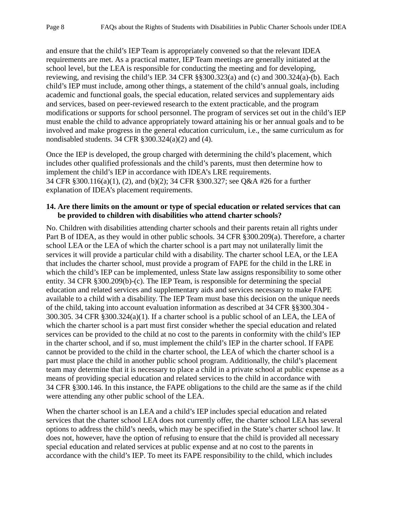and ensure that the child's IEP Team is appropriately convened so that the relevant IDEA requirements are met. As a practical matter, IEP Team meetings are generally initiated at the school level, but the LEA is responsible for conducting the meeting and for developing, reviewing, and revising the child's IEP. 34 CFR §§300.323(a) and (c) and 300.324(a)-(b). Each child's IEP must include, among other things, a statement of the child's annual goals, including academic and functional goals, the special education, related services and supplementary aids and services, based on peer-reviewed research to the extent practicable, and the program modifications or supports for school personnel. The program of services set out in the child's IEP must enable the child to advance appropriately toward attaining his or her annual goals and to be involved and make progress in the general education curriculum, i.e., the same curriculum as for nondisabled students. 34 CFR §300.324(a)(2) and (4).

Once the IEP is developed, the group charged with determining the child's placement, which includes other qualified professionals and the child's parents, must then determine how to implement the child's IEP in accordance with IDEA's LRE requirements. 34 CFR §300.116(a)(1), (2), and (b)(2); 34 CFR §300.327; see Q&A #26 for a further explanation of IDEA's placement requirements.

#### <span id="page-12-0"></span>**14. Are there limits on the amount or type of special education or related services that can be provided to children with disabilities who attend charter schools?**

No. Children with disabilities attending charter schools and their parents retain all rights under Part B of IDEA, as they would in other public schools. 34 CFR §300.209(a). Therefore, a charter school LEA or the LEA of which the charter school is a part may not unilaterally limit the services it will provide a particular child with a disability. The charter school LEA, or the LEA that includes the charter school, must provide a program of FAPE for the child in the LRE in which the child's IEP can be implemented, unless State law assigns responsibility to some other entity. 34 CFR §300.209(b)-(c). The IEP Team, is responsible for determining the special education and related services and supplementary aids and services necessary to make FAPE available to a child with a disability. The IEP Team must base this decision on the unique needs of the child, taking into account evaluation information as described at 34 CFR §§300.304 - 300.305. 34 CFR §300.324(a)(1). If a charter school is a public school of an LEA, the LEA of which the charter school is a part must first consider whether the special education and related services can be provided to the child at no cost to the parents in conformity with the child's IEP in the charter school, and if so, must implement the child's IEP in the charter school. If FAPE cannot be provided to the child in the charter school, the LEA of which the charter school is a part must place the child in another public school program. Additionally, the child's placement team may determine that it is necessary to place a child in a private school at public expense as a means of providing special education and related services to the child in accordance with 34 CFR §300.146. In this instance, the FAPE obligations to the child are the same as if the child were attending any other public school of the LEA.

When the charter school is an LEA and a child's IEP includes special education and related services that the charter school LEA does not currently offer, the charter school LEA has several options to address the child's needs, which may be specified in the State's charter school law. It does not, however, have the option of refusing to ensure that the child is provided all necessary special education and related services at public expense and at no cost to the parents in accordance with the child's IEP. To meet its FAPE responsibility to the child, which includes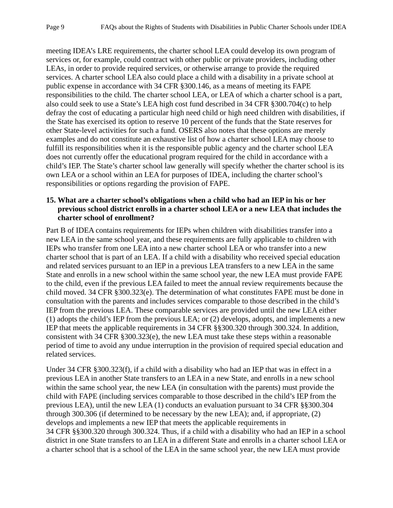meeting IDEA's LRE requirements, the charter school LEA could develop its own program of services or, for example, could contract with other public or private providers, including other LEAs, in order to provide required services, or otherwise arrange to provide the required services. A charter school LEA also could place a child with a disability in a private school at public expense in accordance with 34 CFR §300.146, as a means of meeting its FAPE responsibilities to the child. The charter school LEA, or LEA of which a charter school is a part, also could seek to use a State's LEA high cost fund described in 34 CFR §300.704(c) to help defray the cost of educating a particular high need child or high need children with disabilities, if the State has exercised its option to reserve 10 percent of the funds that the State reserves for other State-level activities for such a fund. OSERS also notes that these options are merely examples and do not constitute an exhaustive list of how a charter school LEA may choose to fulfill its responsibilities when it is the responsible public agency and the charter school LEA does not currently offer the educational program required for the child in accordance with a child's IEP. The State's charter school law generally will specify whether the charter school is its own LEA or a school within an LEA for purposes of IDEA, including the charter school's responsibilities or options regarding the provision of FAPE.

#### <span id="page-13-0"></span>**15. What are a charter school's obligations when a child who had an IEP in his or her previous school district enrolls in a charter school LEA or a new LEA that includes the charter school of enrollment?**

Part B of IDEA contains requirements for IEPs when children with disabilities transfer into a new LEA in the same school year, and these requirements are fully applicable to children with IEPs who transfer from one LEA into a new charter school LEA or who transfer into a new charter school that is part of an LEA. If a child with a disability who received special education and related services pursuant to an IEP in a previous LEA transfers to a new LEA in the same State and enrolls in a new school within the same school year, the new LEA must provide FAPE to the child, even if the previous LEA failed to meet the annual review requirements because the child moved. 34 CFR §300.323(e). The determination of what constitutes FAPE must be done in consultation with the parents and includes services comparable to those described in the child's IEP from the previous LEA. These comparable services are provided until the new LEA either (1) adopts the child's IEP from the previous LEA; or (2) develops, adopts, and implements a new IEP that meets the applicable requirements in 34 CFR §§300.320 through 300.324. In addition, consistent with 34 CFR §300.323(e), the new LEA must take these steps within a reasonable period of time to avoid any undue interruption in the provision of required special education and related services.

Under 34 CFR §300.323(f), if a child with a disability who had an IEP that was in effect in a previous LEA in another State transfers to an LEA in a new State, and enrolls in a new school within the same school year, the new LEA (in consultation with the parents) must provide the child with FAPE (including services comparable to those described in the child's IEP from the previous LEA), until the new LEA (1) conducts an evaluation pursuant to 34 CFR §§300.304 through 300.306 (if determined to be necessary by the new LEA); and, if appropriate, (2) develops and implements a new IEP that meets the applicable requirements in 34 CFR §§300.320 through 300.324. Thus, if a child with a disability who had an IEP in a school district in one State transfers to an LEA in a different State and enrolls in a charter school LEA or a charter school that is a school of the LEA in the same school year, the new LEA must provide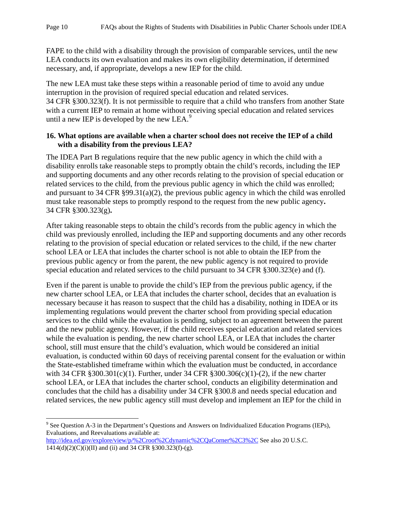FAPE to the child with a disability through the provision of comparable services, until the new LEA conducts its own evaluation and makes its own eligibility determination, if determined necessary, and, if appropriate, develops a new IEP for the child.

The new LEA must take these steps within a reasonable period of time to avoid any undue interruption in the provision of required special education and related services. 34 CFR §300.323(f). It is not permissible to require that a child who transfers from another State with a current IEP to remain at home without receiving special education and related services until a new IEP is developed by the new LEA.<sup>[9](#page-14-1)</sup>

# <span id="page-14-0"></span>**16. What options are available when a charter school does not receive the IEP of a child with a disability from the previous LEA?**

The IDEA Part B regulations require that the new public agency in which the child with a disability enrolls take reasonable steps to promptly obtain the child's records, including the IEP and supporting documents and any other records relating to the provision of special education or related services to the child, from the previous public agency in which the child was enrolled; and pursuant to 34 CFR §99.31(a)(2), the previous public agency in which the child was enrolled must take reasonable steps to promptly respond to the request from the new public agency**.** 34 CFR §300.323(g)**.**

After taking reasonable steps to obtain the child's records from the public agency in which the child was previously enrolled, including the IEP and supporting documents and any other records relating to the provision of special education or related services to the child, if the new charter school LEA or LEA that includes the charter school is not able to obtain the IEP from the previous public agency or from the parent, the new public agency is not required to provide special education and related services to the child pursuant to 34 CFR §300.323(e) and (f).

Even if the parent is unable to provide the child's IEP from the previous public agency, if the new charter school LEA, or LEA that includes the charter school, decides that an evaluation is necessary because it has reason to suspect that the child has a disability, nothing in IDEA or its implementing regulations would prevent the charter school from providing special education services to the child while the evaluation is pending, subject to an agreement between the parent and the new public agency. However, if the child receives special education and related services while the evaluation is pending, the new charter school LEA, or LEA that includes the charter school, still must ensure that the child's evaluation, which would be considered an initial evaluation, is conducted within 60 days of receiving parental consent for the evaluation or within the State-established timeframe within which the evaluation must be conducted, in accordance with 34 CFR  $\S 300.301(c)(1)$ . Further, under 34 CFR  $\S 300.306(c)(1)-(2)$ , if the new charter school LEA, or LEA that includes the charter school, conducts an eligibility determination and concludes that the child has a disability under 34 CFR §300.8 and needs special education and related services, the new public agency still must develop and implement an IEP for the child in

<span id="page-14-1"></span><sup>9</sup> See Question A-3 in the Department's Questions and Answers on Individualized Education Programs (IEPs), Evaluations, and Reevaluations available at:

<http://idea.ed.gov/explore/view/p/%2Croot%2Cdynamic%2CQaCorner%2C3%2C> See also 20 U.S.C. 1414(d)(2)(C)(i)(II) and (ii) and 34 CFR §300.323(f)-(g).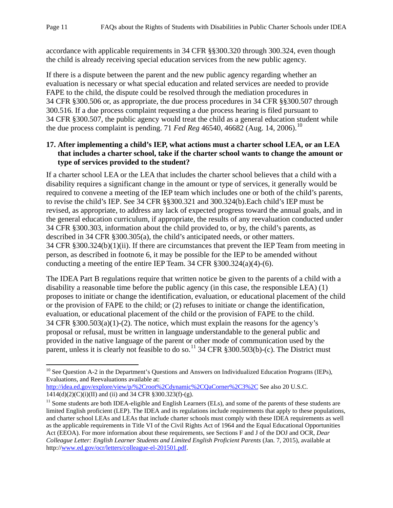accordance with applicable requirements in 34 CFR §§300.320 through 300.324, even though the child is already receiving special education services from the new public agency.

If there is a dispute between the parent and the new public agency regarding whether an evaluation is necessary or what special education and related services are needed to provide FAPE to the child, the dispute could be resolved through the mediation procedures in 34 CFR §300.506 or, as appropriate, the due process procedures in 34 CFR §§300.507 through 300.516. If a due process complaint requesting a due process hearing is filed pursuant to 34 CFR §300.507, the public agency would treat the child as a general education student while the due process complaint is pending. 71 *Fed Reg* 46540, 46682 (Aug. 14, 2006).<sup>[10](#page-15-1)</sup>

## <span id="page-15-0"></span>**17. After implementing a child's IEP, what actions must a charter school LEA, or an LEA that includes a charter school, take if the charter school wants to change the amount or type of services provided to the student?**

If a charter school LEA or the LEA that includes the charter school believes that a child with a disability requires a significant change in the amount or type of services, it generally would be required to convene a meeting of the IEP team which includes one or both of the child's parents, to revise the child's IEP. See 34 CFR §§300.321 and 300.324(b).Each child's IEP must be revised, as appropriate, to address any lack of expected progress toward the annual goals, and in the general education curriculum, if appropriate, the results of any reevaluation conducted under 34 CFR §300.303, information about the child provided to, or by, the child's parents, as described in 34 CFR §300.305(a), the child's anticipated needs, or other matters. 34 CFR §300.324(b)(1)(ii). If there are circumstances that prevent the IEP Team from meeting in person, as described in footnote 6, it may be possible for the IEP to be amended without conducting a meeting of the entire IEP Team. 34 CFR  $\S 300.324(a)(4)-(6)$ .

The IDEA Part B regulations require that written notice be given to the parents of a child with a disability a reasonable time before the public agency (in this case, the responsible LEA) (1) proposes to initiate or change the identification, evaluation, or educational placement of the child or the provision of FAPE to the child; or  $(2)$  refuses to initiate or change the identification, evaluation, or educational placement of the child or the provision of FAPE to the child. 34 CFR §300.503(a)(1)-(2). The notice, which must explain the reasons for the agency's proposal or refusal, must be written in language understandable to the general public and provided in the native language of the parent or other mode of communication used by the parent, unless it is clearly not feasible to do so.<sup>[11](#page-15-2)</sup> 34 CFR §300.503(b)-(c). The District must

#### <http://idea.ed.gov/explore/view/p/%2Croot%2Cdynamic%2CQaCorner%2C3%2C> See also 20 U.S.C.  $1414(d)(2)(C)(i)(II)$  and (ii) and 34 CFR §300.323(f)-(g).

<span id="page-15-1"></span><sup>&</sup>lt;sup>10</sup> See Question A-2 in the Department's Questions and Answers on Individualized Education Programs (IEPs), Evaluations, and Reevaluations available at:

<span id="page-15-2"></span> $<sup>11</sup>$  Some students are both IDEA-eligible and English Learners (ELs), and some of the parents of these students are</sup> limited English proficient (LEP). The IDEA and its regulations include requirements that apply to these populations, and charter school LEAs and LEAs that include charter schools must comply with these IDEA requirements as well as the applicable requirements in Title VI of the Civil Rights Act of 1964 and the Equal Educational Opportunities Act (EEOA). For more information about these requirements, see Sections F and J of the DOJ and OCR, *Dear Colleague Letter: English Learner Students and Limited English Proficient Parents* (Jan. 7, 2015), available at http:/[/www.ed.gov/ocr/letters/colleague-el-201501.pdf.](http://www.ed.gov/ocr/letters/colleague-el-201501.pdf)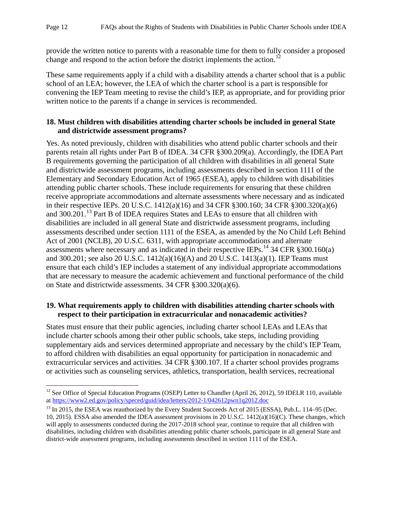provide the written notice to parents with a reasonable time for them to fully consider a proposed change and respond to the action before the district implements the action.<sup>[12](#page-16-2)</sup>

These same requirements apply if a child with a disability attends a charter school that is a public school of an LEA; however, the LEA of which the charter school is a part is responsible for convening the IEP Team meeting to revise the child's IEP, as appropriate, and for providing prior written notice to the parents if a change in services is recommended.

## <span id="page-16-0"></span>**18. Must children with disabilities attending charter schools be included in general State and districtwide assessment programs?**

Yes. As noted previously, children with disabilities who attend public charter schools and their parents retain all rights under Part B of IDEA. 34 CFR §300.209(a). Accordingly, the IDEA Part B requirements governing the participation of all children with disabilities in all general State and districtwide assessment programs, including assessments described in section 1111 of the Elementary and Secondary Education Act of 1965 (ESEA), apply to children with disabilities attending public charter schools. These include requirements for ensuring that these children receive appropriate accommodations and alternate assessments where necessary and as indicated in their respective IEPs. 20 U.S.C. 1412(a)(16) and 34 CFR §300.160; 34 CFR §300.320(a)(6) and 300.201.<sup>[13](#page-16-3)</sup> Part B of IDEA requires States and LEAs to ensure that all children with disabilities are included in all general State and districtwide assessment programs, including assessments described under section 1111 of the ESEA, as amended by the No Child Left Behind Act of 2001 (NCLB), 20 U.S.C. 6311, with appropriate accommodations and alternate assessments where necessary and as indicated in their respective IEPs.<sup>[14](#page-16-4)</sup> 34 CFR §300.160(a) and 300.201; see also 20 U.S.C. 1412(a)(16)(A) and 20 U.S.C. 1413(a)(1). IEP Teams must ensure that each child's IEP includes a statement of any individual appropriate accommodations that are necessary to measure the academic achievement and functional performance of the child on State and districtwide assessments. 34 CFR §300.320(a)(6).

## <span id="page-16-1"></span>**19. What requirements apply to children with disabilities attending charter schools with respect to their participation in extracurricular and nonacademic activities?**

States must ensure that their public agencies, including charter school LEAs and LEAs that include charter schools among their other public schools, take steps, including providing supplementary aids and services determined appropriate and necessary by the child's IEP Team, to afford children with disabilities an equal opportunity for participation in nonacademic and extracurricular services and activities. 34 CFR §300.107. If a charter school provides programs or activities such as counseling services, athletics, transportation, health services, recreational

<span id="page-16-2"></span><sup>&</sup>lt;sup>12</sup> See Office of Special Education Programs (OSEP) Letter to Chandler (April 26, 2012), 59 IDELR 110, available a[t https://www2.ed.gov/policy/speced/guid/idea/letters/2012-1/042612pwn1q2012.doc](https://www2.ed.gov/policy/speced/guid/idea/letters/2012-1/042612pwn1q2012.doc)

<span id="page-16-4"></span><span id="page-16-3"></span><sup>&</sup>lt;sup>13</sup> In 2015, the ESEA was reauthorized by the Every Student Succeeds Act of 2015 (ESSA), Pub.L. 114–95 (Dec. 10, 2015). ESSA also amended the IDEA assessment provisions in 20 U.S.C. 1412(a)(16)(C). These changes, which will apply to assessments conducted during the 2017-2018 school year, continue to require that all children with disabilities, including children with disabilities attending public charter schools, participate in all general State and district-wide assessment programs, including assessments described in section 1111 of the ESEA.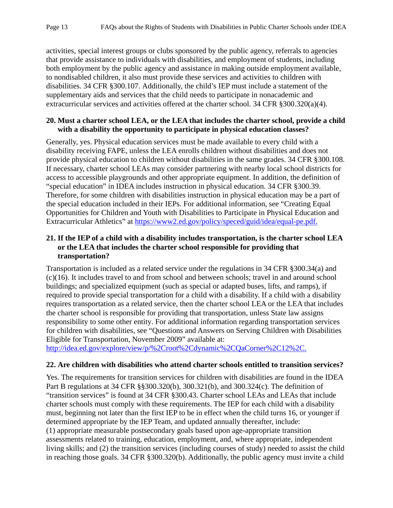activities, special interest groups or clubs sponsored by the public agency, referrals to agencies that provide assistance to individuals with disabilities, and employment of students, including both employment by the public agency and assistance in making outside employment available, to nondisabled children, it also must provide these services and activities to children with disabilities. 34 CFR §300.107. Additionally, the child's IEP must include a statement of the supplementary aids and services that the child needs to participate in nonacademic and extracurricular services and activities offered at the charter school. 34 CFR §300.320(a)(4).

#### <span id="page-17-0"></span>**20. Must a charter school LEA, or the LEA that includes the charter school, provide a child with a disability the opportunity to participate in physical education classes?**

Generally, yes. Physical education services must be made available to every child with a disability receiving FAPE, unless the LEA enrolls children without disabilities and does not provide physical education to children without disabilities in the same grades. 34 CFR §300.108. If necessary, charter school LEAs may consider partnering with nearby local school districts for access to accessible playgrounds and other appropriate equipment. In addition, the definition of "special education" in IDEA includes instruction in physical education. 34 CFR §300.39. Therefore, for some children with disabilities instruction in physical education may be a part of the special education included in their IEPs. For additional information, see "Creating Equal Opportunities for Children and Youth with Disabilities to Participate in Physical Education and Extracurricular Athletics" at [https://www2.ed.gov/policy/speced/guid/idea/equal-pe.pdf.](https://www2.ed.gov/policy/speced/guid/idea/equal-pe.pdf)

## <span id="page-17-1"></span>**21. If the IEP of a child with a disability includes transportation, is the charter school LEA or the LEA that includes the charter school responsible for providing that transportation?**

Transportation is included as a related service under the regulations in 34 CFR §300.34(a) and (c)(16). It includes travel to and from school and between schools; travel in and around school buildings; and specialized equipment (such as special or adapted buses, lifts, and ramps), if required to provide special transportation for a child with a disability. If a child with a disability requires transportation as a related service, then the charter school LEA or the LEA that includes the charter school is responsible for providing that transportation, unless State law assigns responsibility to some other entity. For additional information regarding transportation services for children with disabilities, see "Questions and Answers on Serving Children with Disabilities Eligible for Transportation, November 2009" available at:

[http://idea.ed.gov/explore/view/p/%2Croot%2Cdynamic%2CQaCorner%2C12%2C.](http://idea.ed.gov/explore/view/p/%2Croot%2Cdynamic%2CQaCorner%2C12%2C)

## <span id="page-17-2"></span>**22. Are children with disabilities who attend charter schools entitled to transition services?**

Yes. The requirements for transition services for children with disabilities are found in the IDEA Part B regulations at 34 CFR §§300.320(b), 300.321(b), and 300.324(c). The definition of "transition services" is found at 34 CFR §300.43. Charter school LEAs and LEAs that include charter schools must comply with these requirements. The IEP for each child with a disability must, beginning not later than the first IEP to be in effect when the child turns 16, or younger if determined appropriate by the IEP Team, and updated annually thereafter, include: (1) appropriate measurable postsecondary goals based upon age-appropriate transition assessments related to training, education, employment, and, where appropriate, independent living skills; and (2) the transition services (including courses of study) needed to assist the child in reaching those goals. 34 CFR §300.320(b). Additionally, the public agency must invite a child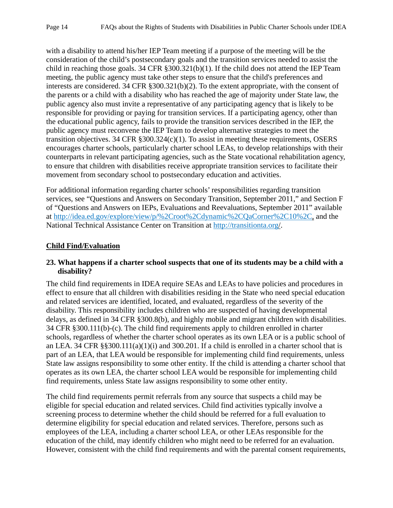with a disability to attend his/her IEP Team meeting if a purpose of the meeting will be the consideration of the child's postsecondary goals and the transition services needed to assist the child in reaching those goals. 34 CFR §300.321(b)(1). If the child does not attend the IEP Team meeting, the public agency must take other steps to ensure that the child's preferences and interests are considered. 34 CFR §300.321(b)(2). To the extent appropriate, with the consent of the parents or a child with a disability who has reached the age of majority under State law, the public agency also must invite a representative of any participating agency that is likely to be responsible for providing or paying for transition services. If a participating agency, other than the educational public agency, fails to provide the transition services described in the IEP, the public agency must reconvene the IEP Team to develop alternative strategies to meet the transition objectives. 34 CFR §300.324(c)(1). To assist in meeting these requirements, OSERS encourages charter schools, particularly charter school LEAs, to develop relationships with their counterparts in relevant participating agencies, such as the State vocational rehabilitation agency, to ensure that children with disabilities receive appropriate transition services to facilitate their movement from secondary school to postsecondary education and activities.

For additional information regarding charter schools' responsibilities regarding transition services, see "Questions and Answers on Secondary Transition, September 2011," and Section F of "Questions and Answers on IEPs, Evaluations and Reevaluations, September 2011" available at [http://idea.ed.gov/explore/view/p/%2Croot%2Cdynamic%2CQaCorner%2C10%2C,](http://idea.ed.gov/explore/view/p/%2Croot%2Cdynamic%2CQaCorner%2C10%2C) and the National Technical Assistance Center on Transition at [http://transitionta.org/.](http://transitionta.org/)

## <span id="page-18-0"></span>**Child Find/Evaluation**

## <span id="page-18-1"></span>**23. What happens if a charter school suspects that one of its students may be a child with a disability?**

The child find requirements in IDEA require SEAs and LEAs to have policies and procedures in effect to ensure that all children with disabilities residing in the State who need special education and related services are identified, located, and evaluated, regardless of the severity of the disability. This responsibility includes children who are suspected of having developmental delays, as defined in 34 CFR §300.8(b), and highly mobile and migrant children with disabilities. 34 CFR §300.111(b)-(c). The child find requirements apply to children enrolled in charter schools, regardless of whether the charter school operates as its own LEA or is a public school of an LEA. 34 CFR §§300.111(a)(1)(i) and 300.201. If a child is enrolled in a charter school that is part of an LEA, that LEA would be responsible for implementing child find requirements, unless State law assigns responsibility to some other entity. If the child is attending a charter school that operates as its own LEA, the charter school LEA would be responsible for implementing child find requirements, unless State law assigns responsibility to some other entity.

The child find requirements permit referrals from any source that suspects a child may be eligible for special education and related services. Child find activities typically involve a screening process to determine whether the child should be referred for a full evaluation to determine eligibility for special education and related services. Therefore, persons such as employees of the LEA, including a charter school LEA, or other LEAs responsible for the education of the child, may identify children who might need to be referred for an evaluation. However, consistent with the child find requirements and with the parental consent requirements,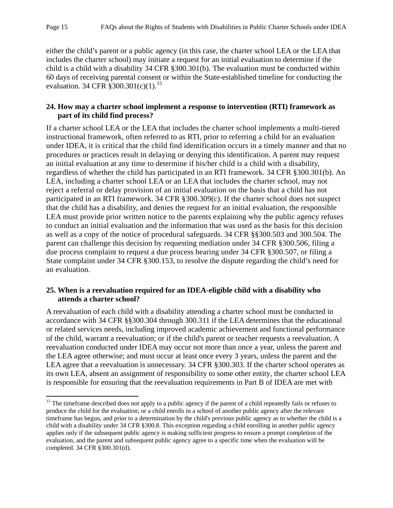either the child's parent or a public agency (in this case, the charter school LEA or the LEA that includes the charter school) may initiate a request for an initial evaluation to determine if the child is a child with a disability 34 CFR §300.301(b). The evaluation must be conducted within 60 days of receiving parental consent or within the State-established timeline for conducting the evaluation. 34 CFR  $\frac{2}{3}300.301(c)(1)$ .<sup>[15](#page-19-2)</sup>

#### <span id="page-19-0"></span>**24. How may a charter school implement a response to intervention (RTI) framework as part of its child find process?**

If a charter school LEA or the LEA that includes the charter school implements a multi-tiered instructional framework, often referred to as RTI, prior to referring a child for an evaluation under IDEA, it is critical that the child find identification occurs in a timely manner and that no procedures or practices result in delaying or denying this identification. A parent may request an initial evaluation at any time to determine if his/her child is a child with a disability, regardless of whether the child has participated in an RTI framework. 34 CFR §300.301(b). An LEA, including a charter school LEA or an LEA that includes the charter school, may not reject a referral or delay provision of an initial evaluation on the basis that a child has not participated in an RTI framework. 34 CFR §300.309(c). If the charter school does not suspect that the child has a disability, and denies the request for an initial evaluation, the responsible LEA must provide prior written notice to the parents explaining why the public agency refuses to conduct an initial evaluation and the information that was used as the basis for this decision as well as a copy of the notice of procedural safeguards. 34 CFR §§300.503 and 300.504. The parent can challenge this decision by requesting mediation under 34 CFR §300.506, filing a due process complaint to request a due process hearing under 34 CFR §300.507, or filing a State complaint under 34 CFR §300.153, to resolve the dispute regarding the child's need for an evaluation.

## <span id="page-19-1"></span>**25. When is a reevaluation required for an IDEA-eligible child with a disability who attends a charter school?**

A reevaluation of each child with a disability attending a charter school must be conducted in accordance with 34 CFR §§300.304 through 300.311 if the LEA determines that the educational or related services needs, including improved academic achievement and functional performance of the child, warrant a reevaluation; or if the child's parent or teacher requests a reevaluation. A reevaluation conducted under IDEA may occur not more than once a year, unless the parent and the LEA agree otherwise; and must occur at least once every 3 years, unless the parent and the LEA agree that a reevaluation is unnecessary. 34 CFR §300.303. If the charter school operates as its own LEA, absent an assignment of responsibility to some other entity, the charter school LEA is responsible for ensuring that the reevaluation requirements in Part B of IDEA are met with

<span id="page-19-2"></span><sup>&</sup>lt;sup>15</sup> The timeframe described does not apply to a public agency if the parent of a child repeatedly fails or refuses to produce the child for the evaluation; or a child enrolls in a school of another public agency after the relevant timeframe has begun, and prior to a determination by the child's previous public agency as to whether the child is a child with a disability under 34 CFR §300.8. This exception regarding a child enrolling in another public agency applies only if the subsequent public agency is making sufficient progress to ensure a prompt completion of the evaluation, and the parent and subsequent public agency agree to a specific time when the evaluation will be completed. 34 CFR §300.301(d).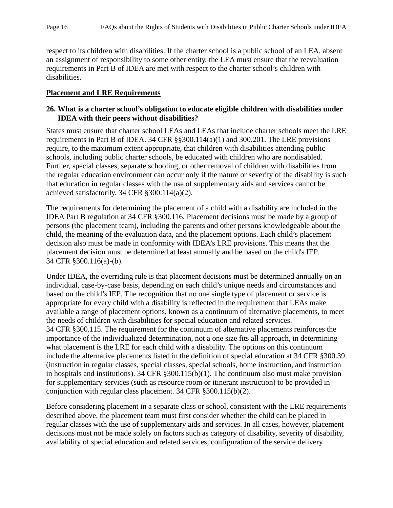respect to its children with disabilities. If the charter school is a public school of an LEA, absent an assignment of responsibility to some other entity, the LEA must ensure that the reevaluation requirements in Part B of IDEA are met with respect to the charter school's children with disabilities.

### <span id="page-20-1"></span><span id="page-20-0"></span>**Placement and LRE Requirements**

## **26. What is a charter school's obligation to educate eligible children with disabilities under IDEA with their peers without disabilities?**

States must ensure that charter school LEAs and LEAs that include charter schools meet the LRE requirements in Part B of IDEA. 34 CFR §§300.114(a)(1) and 300.201. The LRE provisions require, to the maximum extent appropriate, that children with disabilities attending public schools, including public charter schools, be educated with children who are nondisabled. Further, special classes, separate schooling, or other removal of children with disabilities from the regular education environment can occur only if the nature or severity of the disability is such that education in regular classes with the use of supplementary aids and services cannot be achieved satisfactorily. 34 CFR §300.114(a)(2).

The requirements for determining the placement of a child with a disability are included in the IDEA Part B regulation at 34 CFR §300.116. Placement decisions must be made by a group of persons (the placement team), including the parents and other persons knowledgeable about the child, the meaning of the evaluation data, and the placement options. Each child's placement decision also must be made in conformity with IDEA's LRE provisions. This means that the placement decision must be determined at least annually and be based on the child's IEP. 34 CFR §300.116(a)-(b).

Under IDEA, the overriding rule is that placement decisions must be determined annually on an individual, case-by-case basis, depending on each child's unique needs and circumstances and based on the child's IEP. The recognition that no one single type of placement or service is appropriate for every child with a disability is reflected in the requirement that LEAs make available a range of placement options, known as a continuum of alternative placements, to meet the needs of children with disabilities for special education and related services. 34 CFR §300.115. The requirement for the continuum of alternative placements reinforces the importance of the individualized determination, not a one size fits all approach, in determining what placement is the LRE for each child with a disability. The options on this continuum include the alternative placements listed in the definition of special education at 34 CFR §300.39 (instruction in regular classes, special classes, special schools, home instruction, and instruction in hospitals and institutions). 34 CFR §300.115(b)(1). The continuum also must make provision for supplementary services (such as resource room or itinerant instruction) to be provided in conjunction with regular class placement. 34 CFR §300.115(b)(2).

Before considering placement in a separate class or school, consistent with the LRE requirements described above, the placement team must first consider whether the child can be placed in regular classes with the use of supplementary aids and services. In all cases, however, placement decisions must not be made solely on factors such as category of disability, severity of disability, availability of special education and related services, configuration of the service delivery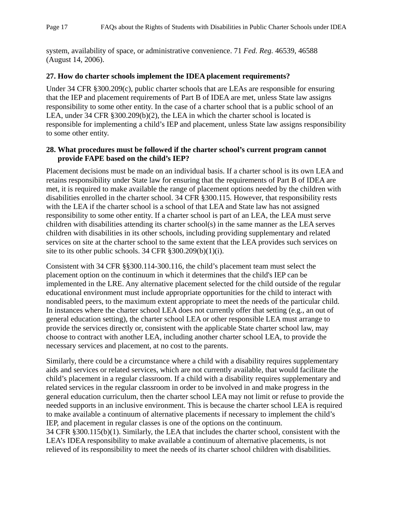system, availability of space, or administrative convenience. 71 *Fed. Reg.* 46539, 46588 (August 14, 2006).

## <span id="page-21-0"></span>**27. How do charter schools implement the IDEA placement requirements?**

Under 34 CFR §300.209(c), public charter schools that are LEAs are responsible for ensuring that the IEP and placement requirements of Part B of IDEA are met, unless State law assigns responsibility to some other entity. In the case of a charter school that is a public school of an LEA, under 34 CFR §300.209(b)(2), the LEA in which the charter school is located is responsible for implementing a child's IEP and placement, unless State law assigns responsibility to some other entity.

## <span id="page-21-1"></span>**28. What procedures must be followed if the charter school's current program cannot provide FAPE based on the child's IEP?**

Placement decisions must be made on an individual basis. If a charter school is its own LEA and retains responsibility under State law for ensuring that the requirements of Part B of IDEA are met, it is required to make available the range of placement options needed by the children with disabilities enrolled in the charter school. 34 CFR §300.115. However, that responsibility rests with the LEA if the charter school is a school of that LEA and State law has not assigned responsibility to some other entity. If a charter school is part of an LEA, the LEA must serve children with disabilities attending its charter school(s) in the same manner as the LEA serves children with disabilities in its other schools, including providing supplementary and related services on site at the charter school to the same extent that the LEA provides such services on site to its other public schools. 34 CFR §300.209(b)(1)(i).

Consistent with 34 CFR §§300.114-300.116, the child's placement team must select the placement option on the continuum in which it determines that the child's IEP can be implemented in the LRE. Any alternative placement selected for the child outside of the regular educational environment must include appropriate opportunities for the child to interact with nondisabled peers, to the maximum extent appropriate to meet the needs of the particular child. In instances where the charter school LEA does not currently offer that setting (e.g., an out of general education setting), the charter school LEA or other responsible LEA must arrange to provide the services directly or, consistent with the applicable State charter school law, may choose to contract with another LEA, including another charter school LEA, to provide the necessary services and placement, at no cost to the parents.

Similarly, there could be a circumstance where a child with a disability requires supplementary aids and services or related services, which are not currently available, that would facilitate the child's placement in a regular classroom. If a child with a disability requires supplementary and related services in the regular classroom in order to be involved in and make progress in the general education curriculum, then the charter school LEA may not limit or refuse to provide the needed supports in an inclusive environment. This is because the charter school LEA is required to make available a continuum of alternative placements if necessary to implement the child's IEP, and placement in regular classes is one of the options on the continuum. 34 CFR §300.115(b)(1). Similarly, the LEA that includes the charter school, consistent with the LEA's IDEA responsibility to make available a continuum of alternative placements, is not relieved of its responsibility to meet the needs of its charter school children with disabilities.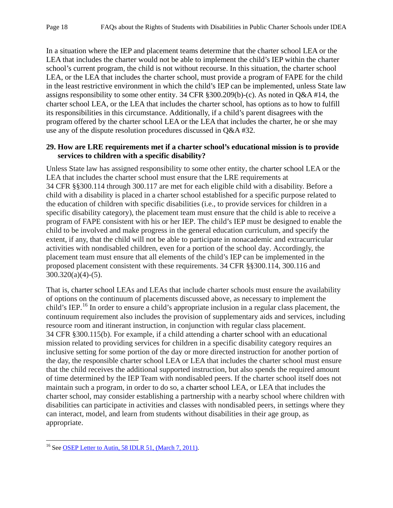In a situation where the IEP and placement teams determine that the charter school LEA or the LEA that includes the charter would not be able to implement the child's IEP within the charter school's current program, the child is not without recourse. In this situation, the charter school LEA, or the LEA that includes the charter school, must provide a program of FAPE for the child in the least restrictive environment in which the child's IEP can be implemented, unless State law assigns responsibility to some other entity. 34 CFR §300.209(b)-(c). As noted in Q&A #14, the charter school LEA, or the LEA that includes the charter school, has options as to how to fulfill its responsibilities in this circumstance. Additionally, if a child's parent disagrees with the program offered by the charter school LEA or the LEA that includes the charter, he or she may use any of the dispute resolution procedures discussed in Q&A #32.

### <span id="page-22-0"></span>**29. How are LRE requirements met if a charter school's educational mission is to provide services to children with a specific disability?**

Unless State law has assigned responsibility to some other entity, the charter school LEA or the LEA that includes the charter school must ensure that the LRE requirements at 34 CFR §§300.114 through 300.117 are met for each eligible child with a disability. Before a child with a disability is placed in a charter school established for a specific purpose related to the education of children with specific disabilities (i.e., to provide services for children in a specific disability category), the placement team must ensure that the child is able to receive a program of FAPE consistent with his or her IEP. The child's IEP must be designed to enable the child to be involved and make progress in the general education curriculum, and specify the extent, if any, that the child will not be able to participate in nonacademic and extracurricular activities with nondisabled children, even for a portion of the school day. Accordingly, the placement team must ensure that all elements of the child's IEP can be implemented in the proposed placement consistent with these requirements. 34 CFR §§300.114, 300.116 and  $300.320(a)(4)-(5)$ .

That is, charter school LEAs and LEAs that include charter schools must ensure the availability of options on the continuum of placements discussed above, as necessary to implement the child's IEP.<sup>[16](#page-22-1)</sup> In order to ensure a child's appropriate inclusion in a regular class placement, the continuum requirement also includes the provision of supplementary aids and services, including resource room and itinerant instruction, in conjunction with regular class placement. 34 CFR §300.115(b). For example, if a child attending a charter school with an educational mission related to providing services for children in a specific disability category requires an inclusive setting for some portion of the day or more directed instruction for another portion of the day, the responsible charter school LEA or LEA that includes the charter school must ensure that the child receives the additional supported instruction, but also spends the required amount of time determined by the IEP Team with nondisabled peers. If the charter school itself does not maintain such a program, in order to do so, a charter school LEA, or LEA that includes the charter school, may consider establishing a partnership with a nearby school where children with disabilities can participate in activities and classes with nondisabled peers, in settings where they can interact, model, and learn from students without disabilities in their age group, as appropriate.

<span id="page-22-1"></span><sup>&</sup>lt;sup>16</sup> See [OSEP Letter to Autin, 58 IDLR 51, \(March 7, 2011\).](http://www2.ed.gov/policy/speced/guid/idea/letters/2011-1/autin030711lre1q2011.pdf)  $\overline{\phantom{a}}$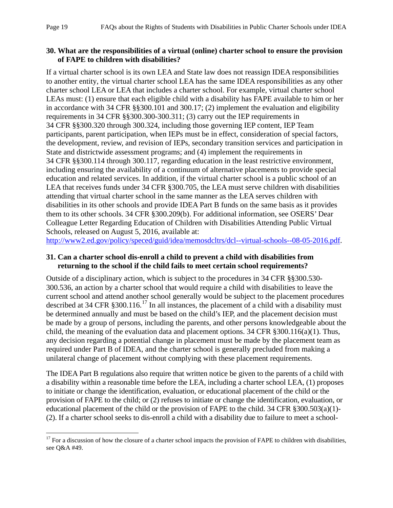## <span id="page-23-0"></span>**30. What are the responsibilities of a virtual (online) charter school to ensure the provision of FAPE to children with disabilities?**

If a virtual charter school is its own LEA and State law does not reassign IDEA responsibilities to another entity, the virtual charter school LEA has the same IDEA responsibilities as any other charter school LEA or LEA that includes a charter school. For example, virtual charter school LEAs must: (1) ensure that each eligible child with a disability has FAPE available to him or her in accordance with 34 CFR §§300.101 and 300.17; (2) implement the evaluation and eligibility requirements in 34 CFR §§300.300-300.311; (3) carry out the IEP requirements in 34 CFR §§300.320 through 300.324, including those governing IEP content, IEP Team participants, parent participation, when IEPs must be in effect, consideration of special factors, the development, review, and revision of IEPs, secondary transition services and participation in State and districtwide assessment programs; and (4) implement the requirements in 34 CFR §§300.114 through 300.117, regarding education in the least restrictive environment, including ensuring the availability of a continuum of alternative placements to provide special education and related services. In addition, if the virtual charter school is a public school of an LEA that receives funds under 34 CFR §300.705, the LEA must serve children with disabilities attending that virtual charter school in the same manner as the LEA serves children with disabilities in its other schools and provide IDEA Part B funds on the same basis as it provides them to its other schools. 34 CFR §300.209(b). For additional information, see OSERS' Dear Colleague Letter Regarding Education of Children with Disabilities Attending Public Virtual Schools, released on August 5, 2016, available at:

[http://www2.ed.gov/policy/speced/guid/idea/memosdcltrs/dcl--virtual-schools--08-05-2016.pdf.](http://www2.ed.gov/policy/speced/guid/idea/memosdcltrs/dcl--virtual-schools--08-05-2016.pdf)

## <span id="page-23-1"></span>**31. Can a charter school dis-enroll a child to prevent a child with disabilities from returning to the school if the child fails to meet certain school requirements?**

Outside of a disciplinary action, which is subject to the procedures in 34 CFR §§300.530- 300.536, an action by a charter school that would require a child with disabilities to leave the current school and attend another school generally would be subject to the placement procedures described at 34 CFR  $\S 300.116$ .<sup>[17](#page-23-2)</sup> In all instances, the placement of a child with a disability must be determined annually and must be based on the child's IEP, and the placement decision must be made by a group of persons, including the parents, and other persons knowledgeable about the child, the meaning of the evaluation data and placement options. 34 CFR §300.116(a)(1). Thus, any decision regarding a potential change in placement must be made by the placement team as required under Part B of IDEA, and the charter school is generally precluded from making a unilateral change of placement without complying with these placement requirements.

The IDEA Part B regulations also require that written notice be given to the parents of a child with a disability within a reasonable time before the LEA, including a charter school LEA, (1) proposes to initiate or change the identification, evaluation, or educational placement of the child or the provision of FAPE to the child; or (2) refuses to initiate or change the identification, evaluation, or educational placement of the child or the provision of FAPE to the child. 34 CFR §300.503(a)(1)- (2). If a charter school seeks to dis-enroll a child with a disability due to failure to meet a school-

<span id="page-23-2"></span> $17$  For a discussion of how the closure of a charter school impacts the provision of FAPE to children with disabilities, see Q&A #49.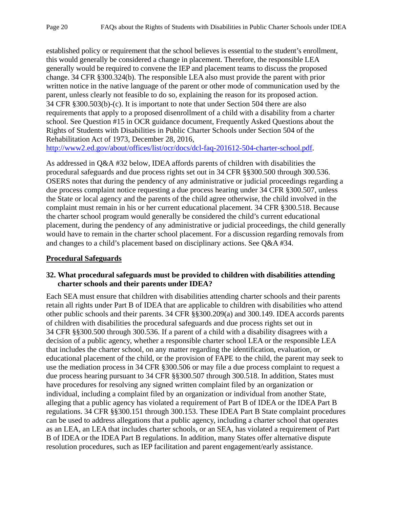established policy or requirement that the school believes is essential to the student's enrollment, this would generally be considered a change in placement. Therefore, the responsible LEA generally would be required to convene the IEP and placement teams to discuss the proposed change. 34 CFR §300.324(b). The responsible LEA also must provide the parent with prior written notice in the native language of the parent or other mode of communication used by the parent, unless clearly not feasible to do so, explaining the reason for its proposed action. 34 CFR §300.503(b)-(c). It is important to note that under Section 504 there are also requirements that apply to a proposed disenrollment of a child with a disability from a charter school. See Question #15 in OCR guidance document, Frequently Asked Questions about the Rights of Students with Disabilities in Public Charter Schools under Section 504 of the Rehabilitation Act of 1973, December 28, 2016,

[http://www2.ed.gov/about/offices/list/ocr/docs/dcl-faq-201612-504-charter-school.pdf.](http://www2.ed.gov/about/offices/list/ocr/docs/dcl-faq-201612-504-charter-school.pdf)

As addressed in Q&A #32 below, IDEA affords parents of children with disabilities the procedural safeguards and due process rights set out in 34 CFR §§300.500 through 300.536. OSERS notes that during the pendency of any administrative or judicial proceedings regarding a due process complaint notice requesting a due process hearing under 34 CFR §300.507, unless the State or local agency and the parents of the child agree otherwise, the child involved in the complaint must remain in his or her current educational placement. 34 CFR §300.518. Because the charter school program would generally be considered the child's current educational placement, during the pendency of any administrative or judicial proceedings, the child generally would have to remain in the charter school placement. For a discussion regarding removals from and changes to a child's placement based on disciplinary actions. See Q&A #34.

## <span id="page-24-1"></span><span id="page-24-0"></span>**Procedural Safeguards**

### **32. What procedural safeguards must be provided to children with disabilities attending charter schools and their parents under IDEA?**

Each SEA must ensure that children with disabilities attending charter schools and their parents retain all rights under Part B of IDEA that are applicable to children with disabilities who attend other public schools and their parents. 34 CFR §§300.209(a) and 300.149. IDEA accords parents of children with disabilities the procedural safeguards and due process rights set out in 34 CFR §§300.500 through 300.536. If a parent of a child with a disability disagrees with a decision of a public agency, whether a responsible charter school LEA or the responsible LEA that includes the charter school, on any matter regarding the identification, evaluation, or educational placement of the child, or the provision of FAPE to the child, the parent may seek to use the mediation process in 34 CFR §300.506 or may file a due process complaint to request a due process hearing pursuant to 34 CFR §§300.507 through 300.518. In addition, States must have procedures for resolving any signed written complaint filed by an organization or individual, including a complaint filed by an organization or individual from another State, alleging that a public agency has violated a requirement of Part B of IDEA or the IDEA Part B regulations. 34 CFR §§300.151 through 300.153. These IDEA Part B State complaint procedures can be used to address allegations that a public agency, including a charter school that operates as an LEA, an LEA that includes charter schools, or an SEA, has violated a requirement of Part B of IDEA or the IDEA Part B regulations. In addition, many States offer alternative dispute resolution procedures, such as IEP facilitation and parent engagement/early assistance.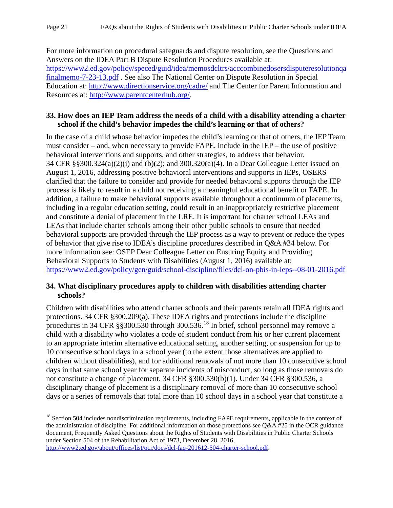For more information on procedural safeguards and dispute resolution, see the Questions and Answers on the IDEA Part B Dispute Resolution Procedures available at: [https://www2.ed.gov/policy/speced/guid/idea/memosdcltrs/acccombinedosersdisputeresolutionqa](https://www2.ed.gov/policy/speced/guid/idea/memosdcltrs/acccombinedosersdisputeresolutionqafinalmemo-7-23-13.pdf) [finalmemo-7-23-13.pdf](https://www2.ed.gov/policy/speced/guid/idea/memosdcltrs/acccombinedosersdisputeresolutionqafinalmemo-7-23-13.pdf) . See also The National Center on Dispute Resolution in Special Education at:<http://www.directionservice.org/cadre/> and The Center for Parent Information and Resources at: [http://www.parentcenterhub.org/.](http://www.parentcenterhub.org/)

## <span id="page-25-0"></span>**33. How does an IEP Team address the needs of a child with a disability attending a charter school if the child's behavior impedes the child's learning or that of others?**

In the case of a child whose behavior impedes the child's learning or that of others, the IEP Team must consider – and, when necessary to provide FAPE, include in the IEP – the use of positive behavioral interventions and supports, and other strategies, to address that behavior. 34 CFR §§300.324(a)(2)(i) and (b)(2); and 300.320(a)(4). In a Dear Colleague Letter issued on August 1, 2016, addressing positive behavioral interventions and supports in IEPs, OSERS clarified that the failure to consider and provide for needed behavioral supports through the IEP process is likely to result in a child not receiving a meaningful educational benefit or FAPE. In addition, a failure to make behavioral supports available throughout a continuum of placements, including in a regular education setting, could result in an inappropriately restrictive placement and constitute a denial of placement in the LRE. It is important for charter school LEAs and LEAs that include charter schools among their other public schools to ensure that needed behavioral supports are provided through the IEP process as a way to prevent or reduce the types of behavior that give rise to IDEA's discipline procedures described in Q&A #34 below. For more information see: OSEP Dear Colleague Letter on Ensuring Equity and Providing Behavioral Supports to Students with Disabilities (August 1, 2016) available at: <https://www2.ed.gov/policy/gen/guid/school-discipline/files/dcl-on-pbis-in-ieps--08-01-2016.pdf>

### <span id="page-25-1"></span>**34. What disciplinary procedures apply to children with disabilities attending charter schools?**

Children with disabilities who attend charter schools and their parents retain all IDEA rights and protections. 34 CFR §300.209(a). These IDEA rights and protections include the discipline procedures in 34 CFR §§300.530 through 300.536.<sup>[18](#page-25-2)</sup> In brief, school personnel may remove a child with a disability who violates a code of student conduct from his or her current placement to an appropriate interim alternative educational setting, another setting, or suspension for up to 10 consecutive school days in a school year (to the extent those alternatives are applied to children without disabilities), and for additional removals of not more than 10 consecutive school days in that same school year for separate incidents of misconduct, so long as those removals do not constitute a change of placement. 34 CFR §300.530(b)(1). Under 34 CFR §300.536, a disciplinary change of placement is a disciplinary removal of more than 10 consecutive school days or a series of removals that total more than 10 school days in a school year that constitute a

<span id="page-25-2"></span><sup>&</sup>lt;sup>18</sup> Section 504 includes nondiscrimination requirements, including FAPE requirements, applicable in the context of the administration of discipline. For additional information on those protections see  $Q\&A$  #25 in the OCR guidance document, Frequently Asked Questions about the Rights of Students with Disabilities in Public Charter Schools under Section 504 of the Rehabilitation Act of 1973, December 28, 2016, [http://www2.ed.gov/about/offices/list/ocr/docs/dcl-faq-201612-504-charter-school.pdf.](http://www2.ed.gov/about/offices/list/ocr/docs/dcl-faq-201612-504-charter-school.pdf)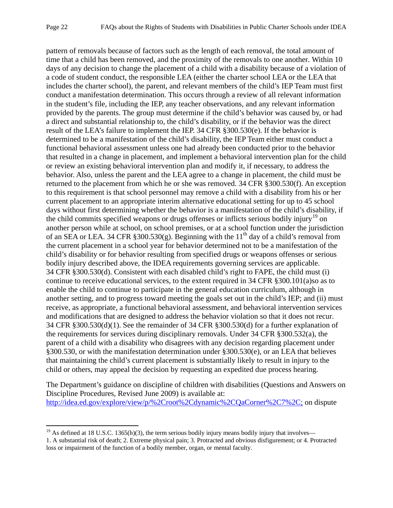pattern of removals because of factors such as the length of each removal, the total amount of time that a child has been removed, and the proximity of the removals to one another. Within 10 days of any decision to change the placement of a child with a disability because of a violation of a code of student conduct, the responsible LEA (either the charter school LEA or the LEA that includes the charter school), the parent, and relevant members of the child's IEP Team must first conduct a manifestation determination. This occurs through a review of all relevant information in the student's file, including the IEP, any teacher observations, and any relevant information provided by the parents. The group must determine if the child's behavior was caused by, or had a direct and substantial relationship to, the child's disability, or if the behavior was the direct result of the LEA's failure to implement the IEP. 34 CFR §300.530(e). If the behavior is determined to be a manifestation of the child's disability, the IEP Team either must conduct a functional behavioral assessment unless one had already been conducted prior to the behavior that resulted in a change in placement, and implement a behavioral intervention plan for the child or review an existing behavioral intervention plan and modify it, if necessary, to address the behavior. Also, unless the parent and the LEA agree to a change in placement, the child must be returned to the placement from which he or she was removed. 34 CFR §300.530(f). An exception to this requirement is that school personnel may remove a child with a disability from his or her current placement to an appropriate interim alternative educational setting for up to 45 school days without first determining whether the behavior is a manifestation of the child's disability, if the child commits specified weapons or drugs offenses or inflicts serious bodily injury<sup>[19](#page-26-0)</sup> on another person while at school, on school premises, or at a school function under the jurisdiction of an SEA or LEA. 34 CFR §300.530(g). Beginning with the 11<sup>th</sup> day of a child's removal from the current placement in a school year for behavior determined not to be a manifestation of the child's disability or for behavior resulting from specified drugs or weapons offenses or serious bodily injury described above, the IDEA requirements governing services are applicable. 34 CFR §300.530(d). Consistent with each disabled child's right to FAPE, the child must (i) continue to receive educational services, to the extent required in 34 CFR §300.101(a)so as to enable the child to continue to participate in the general education curriculum, although in another setting, and to progress toward meeting the goals set out in the child's IEP; and (ii) must receive, as appropriate, a functional behavioral assessment, and behavioral intervention services and modifications that are designed to address the behavior violation so that it does not recur. 34 CFR §300.530(d)(1). See the remainder of 34 CFR §300.530(d) for a further explanation of the requirements for services during disciplinary removals. Under 34 CFR §300.532(a), the parent of a child with a disability who disagrees with any decision regarding placement under §300.530, or with the manifestation determination under §300.530(e), or an LEA that believes that maintaining the child's current placement is substantially likely to result in injury to the child or others, may appeal the decision by requesting an expedited due process hearing.

The Department's guidance on discipline of children with disabilities (Questions and Answers on Discipline Procedures, Revised June 2009) is available at: [http://idea.ed.gov/explore/view/p/%2Croot%2Cdynamic%2CQaCorner%2C7%2C;](http://idea.ed.gov/explore/view/p/%2Croot%2Cdynamic%2CQaCorner%2C7%2C) on dispute

 $19$  As defined at 18 U.S.C. 1365(h)(3), the term serious bodily injury means bodily injury that involves l

<span id="page-26-0"></span><sup>1.</sup> A substantial risk of death; 2. Extreme physical pain; 3. Protracted and obvious disfigurement; or 4. Protracted loss or impairment of the function of a bodily member, organ, or mental faculty.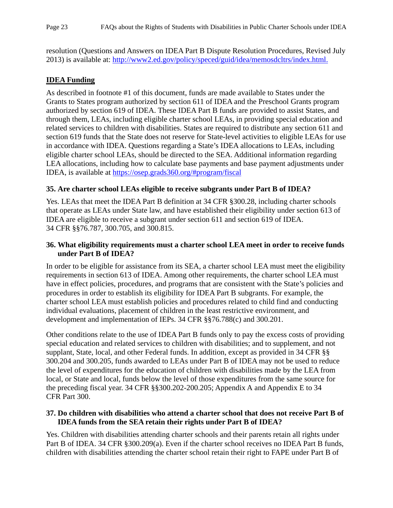resolution (Questions and Answers on IDEA Part B Dispute Resolution Procedures, Revised July 2013) is available at: [http://www2.ed.gov/policy/speced/guid/idea/memosdcltrs/index.html.](http://www2.ed.gov/policy/speced/guid/idea/memosdcltrs/index.html)

# <span id="page-27-0"></span>**IDEA Funding**

As described in footnote #1 of this document, funds are made available to States under the Grants to States program authorized by section 611 of IDEA and the Preschool Grants program authorized by section 619 of IDEA. These IDEA Part B funds are provided to assist States, and through them, LEAs, including eligible charter school LEAs, in providing special education and related services to children with disabilities. States are required to distribute any section 611 and section 619 funds that the State does not reserve for State-level activities to eligible LEAs for use in accordance with IDEA. Questions regarding a State's IDEA allocations to LEAs, including eligible charter school LEAs, should be directed to the SEA. Additional information regarding LEA allocations, including how to calculate base payments and base payment adjustments under IDEA, is available at [https://osep.grads360.org/#program/fiscal](https://osep.grads360.org/%23program/fiscal)

## <span id="page-27-1"></span>**35. Are charter school LEAs eligible to receive subgrants under Part B of IDEA?**

Yes. LEAs that meet the IDEA Part B definition at 34 CFR §300.28, including charter schools that operate as LEAs under State law, and have established their eligibility under section 613 of IDEA are eligible to receive a subgrant under section 611 and section 619 of IDEA. 34 CFR §§76.787, 300.705, and 300.815.

## <span id="page-27-2"></span>**36. What eligibility requirements must a charter school LEA meet in order to receive funds under Part B of IDEA?**

In order to be eligible for assistance from its SEA, a charter school LEA must meet the eligibility requirements in section 613 of IDEA. Among other requirements, the charter school LEA must have in effect policies, procedures, and programs that are consistent with the State's policies and procedures in order to establish its eligibility for IDEA Part B subgrants. For example, the charter school LEA must establish policies and procedures related to child find and conducting individual evaluations, placement of children in the least restrictive environment, and development and implementation of IEPs. 34 CFR §§76.788(c) and 300.201.

Other conditions relate to the use of IDEA Part B funds only to pay the excess costs of providing special education and related services to children with disabilities; and to supplement, and not supplant, State, local, and other Federal funds. In addition, except as provided in 34 CFR §§ 300.204 and 300.205, funds awarded to LEAs under Part B of IDEA may not be used to reduce the level of expenditures for the education of children with disabilities made by the LEA from local, or State and local, funds below the level of those expenditures from the same source for the preceding fiscal year. 34 CFR §§300.202-200.205; Appendix A and Appendix E to 34 CFR Part 300.

## <span id="page-27-3"></span>**37. Do children with disabilities who attend a charter school that does not receive Part B of IDEA funds from the SEA retain their rights under Part B of IDEA?**

Yes. Children with disabilities attending charter schools and their parents retain all rights under Part B of IDEA. 34 CFR §300.209(a). Even if the charter school receives no IDEA Part B funds, children with disabilities attending the charter school retain their right to FAPE under Part B of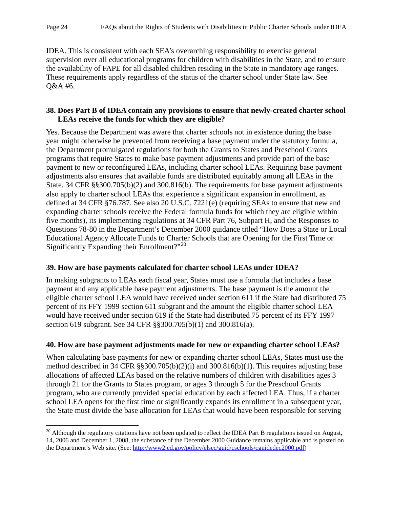l

IDEA. This is consistent with each SEA's overarching responsibility to exercise general supervision over all educational programs for children with disabilities in the State, and to ensure the availability of FAPE for all disabled children residing in the State in mandatory age ranges. These requirements apply regardless of the status of the charter school under State law. See Q&A #6.

### <span id="page-28-0"></span>**38. Does Part B of IDEA contain any provisions to ensure that newly-created charter school LEAs receive the funds for which they are eligible?**

Yes. Because the Department was aware that charter schools not in existence during the base year might otherwise be prevented from receiving a base payment under the statutory formula, the Department promulgated regulations for both the Grants to States and Preschool Grants programs that require States to make base payment adjustments and provide part of the base payment to new or reconfigured LEAs, including charter school LEAs. Requiring base payment adjustments also ensures that available funds are distributed equitably among all LEAs in the State. 34 CFR §§300.705(b)(2) and 300.816(b). The requirements for base payment adjustments also apply to charter school LEAs that experience a significant expansion in enrollment, as defined at 34 CFR §76.787. See also 20 U.S.C. 7221(e) (requiring SEAs to ensure that new and expanding charter schools receive the Federal formula funds for which they are eligible within five months), its implementing regulations at 34 CFR Part 76, Subpart H, and the Responses to Questions 78-80 in the Department's December 2000 guidance titled "How Does a State or Local Educational Agency Allocate Funds to Charter Schools that are Opening for the First Time or Significantly Expanding their Enrollment?"<sup>[20](#page-28-3)</sup>

## <span id="page-28-1"></span>**39. How are base payments calculated for charter school LEAs under IDEA?**

In making subgrants to LEAs each fiscal year, States must use a formula that includes a base payment and any applicable base payment adjustments. The base payment is the amount the eligible charter school LEA would have received under section 611 if the State had distributed 75 percent of its FFY 1999 section 611 subgrant and the amount the eligible charter school LEA would have received under section 619 if the State had distributed 75 percent of its FFY 1997 section 619 subgrant. See 34 CFR §§300.705(b)(1) and 300.816(a).

## <span id="page-28-2"></span>**40. How are base payment adjustments made for new or expanding charter school LEAs?**

When calculating base payments for new or expanding charter school LEAs, States must use the method described in 34 CFR §§300.705(b)(2)(i) and 300.816(b)(1). This requires adjusting base allocations of affected LEAs based on the relative numbers of children with disabilities ages 3 through 21 for the Grants to States program, or ages 3 through 5 for the Preschool Grants program, who are currently provided special education by each affected LEA. Thus, if a charter school LEA opens for the first time or significantly expands its enrollment in a subsequent year, the State must divide the base allocation for LEAs that would have been responsible for serving

<span id="page-28-3"></span> $20$  Although the regulatory citations have not been updated to reflect the IDEA Part B regulations issued on August, 14, 2006 and December 1, 2008, the substance of the December 2000 Guidance remains applicable and is posted on the Department's Web site. (See: [http://www2.ed.gov/policy/elsec/guid/cschools/cguidedec2000.pdf\)](http://www2.ed.gov/policy/elsec/guid/cschools/cguidedec2000.pdf)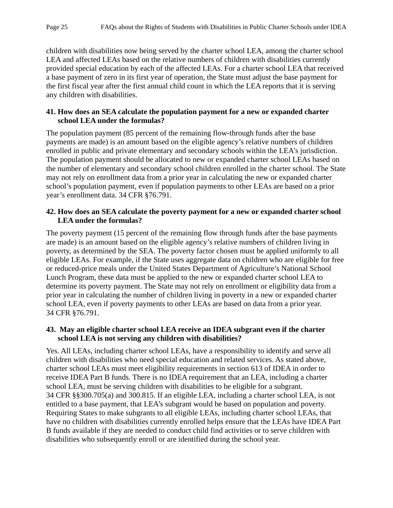children with disabilities now being served by the charter school LEA, among the charter school LEA and affected LEAs based on the relative numbers of children with disabilities currently provided special education by each of the affected LEAs. For a charter school LEA that received a base payment of zero in its first year of operation, the State must adjust the base payment for the first fiscal year after the first annual child count in which the LEA reports that it is serving any children with disabilities.

#### <span id="page-29-0"></span>**41. How does an SEA calculate the population payment for a new or expanded charter school LEA under the formulas?**

The population payment (85 percent of the remaining flow-through funds after the base payments are made) is an amount based on the eligible agency's relative numbers of children enrolled in public and private elementary and secondary schools within the LEA's jurisdiction. The population payment should be allocated to new or expanded charter school LEAs based on the number of elementary and secondary school children enrolled in the charter school. The State may not rely on enrollment data from a prior year in calculating the new or expanded charter school's population payment, even if population payments to other LEAs are based on a prior year's enrollment data. 34 CFR §76.791.

#### <span id="page-29-1"></span>**42. How does an SEA calculate the poverty payment for a new or expanded charter school LEA under the formulas?**

The poverty payment (15 percent of the remaining flow through funds after the base payments are made) is an amount based on the eligible agency's relative numbers of children living in poverty, as determined by the SEA. The poverty factor chosen must be applied uniformly to all eligible LEAs. For example, if the State uses aggregate data on children who are eligible for free or reduced-price meals under the United States Department of Agriculture's National School Lunch Program, these data must be applied to the new or expanded charter school LEA to determine its poverty payment. The State may not rely on enrollment or eligibility data from a prior year in calculating the number of children living in poverty in a new or expanded charter school LEA, even if poverty payments to other LEAs are based on data from a prior year. 34 CFR §76.791.

#### <span id="page-29-2"></span>**43. May an eligible charter school LEA receive an IDEA subgrant even if the charter school LEA is not serving any children with disabilities?**

Yes. All LEAs, including charter school LEAs, have a responsibility to identify and serve all children with disabilities who need special education and related services. As stated above, charter school LEAs must meet eligibility requirements in section 613 of IDEA in order to receive IDEA Part B funds. There is no IDEA requirement that an LEA, including a charter school LEA, must be serving children with disabilities to be eligible for a subgrant. 34 CFR §§300.705(a) and 300.815. If an eligible LEA, including a charter school LEA, is not entitled to a base payment, that LEA's subgrant would be based on population and poverty. Requiring States to make subgrants to all eligible LEAs, including charter school LEAs, that have no children with disabilities currently enrolled helps ensure that the LEAs have IDEA Part B funds available if they are needed to conduct child find activities or to serve children with disabilities who subsequently enroll or are identified during the school year.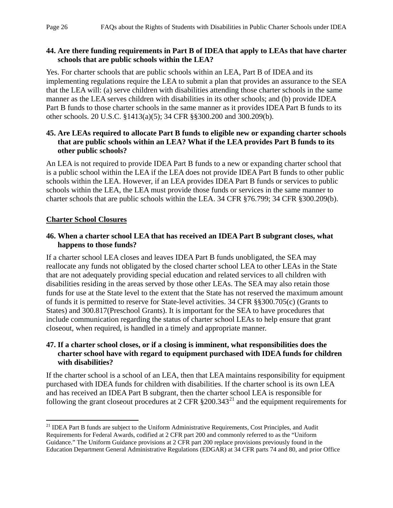## <span id="page-30-0"></span>**44. Are there funding requirements in Part B of IDEA that apply to LEAs that have charter schools that are public schools within the LEA?**

Yes. For charter schools that are public schools within an LEA, Part B of IDEA and its implementing regulations require the LEA to submit a plan that provides an assurance to the SEA that the LEA will: (a) serve children with disabilities attending those charter schools in the same manner as the LEA serves children with disabilities in its other schools; and (b) provide IDEA Part B funds to those charter schools in the same manner as it provides IDEA Part B funds to its other schools. 20 U.S.C. §1413(a)(5); 34 CFR §§300.200 and 300.209(b).

# <span id="page-30-1"></span>**45. Are LEAs required to allocate Part B funds to eligible new or expanding charter schools that are public schools within an LEA? What if the LEA provides Part B funds to its other public schools?**

An LEA is not required to provide IDEA Part B funds to a new or expanding charter school that is a public school within the LEA if the LEA does not provide IDEA Part B funds to other public schools within the LEA. However, if an LEA provides IDEA Part B funds or services to public schools within the LEA, the LEA must provide those funds or services in the same manner to charter schools that are public schools within the LEA. 34 CFR §76.799; 34 CFR §300.209(b).

# <span id="page-30-2"></span>**Charter School Closures**

## <span id="page-30-3"></span>**46. When a charter school LEA that has received an IDEA Part B subgrant closes, what happens to those funds?**

If a charter school LEA closes and leaves IDEA Part B funds unobligated, the SEA may reallocate any funds not obligated by the closed charter school LEA to other LEAs in the State that are not adequately providing special education and related services to all children with disabilities residing in the areas served by those other LEAs. The SEA may also retain those funds for use at the State level to the extent that the State has not reserved the maximum amount of funds it is permitted to reserve for State-level activities. 34 CFR §§300.705(c) (Grants to States) and 300.817(Preschool Grants). It is important for the SEA to have procedures that include communication regarding the status of charter school LEAs to help ensure that grant closeout, when required, is handled in a timely and appropriate manner.

## <span id="page-30-4"></span>**47. If a charter school closes, or if a closing is imminent, what responsibilities does the charter school have with regard to equipment purchased with IDEA funds for children with disabilities?**

If the charter school is a school of an LEA, then that LEA maintains responsibility for equipment purchased with IDEA funds for children with disabilities. If the charter school is its own LEA and has received an IDEA Part B subgrant, then the charter school LEA is responsible for following the grant closeout procedures at  $2$  CFR  $\S 200.343<sup>21</sup>$  $\S 200.343<sup>21</sup>$  $\S 200.343<sup>21</sup>$  and the equipment requirements for

<span id="page-30-5"></span><sup>&</sup>lt;sup>21</sup> IDEA Part B funds are subject to the Uniform Administrative Requirements, Cost Principles, and Audit Requirements for Federal Awards, codified at 2 CFR part 200 and commonly referred to as the "Uniform Guidance." The Uniform Guidance provisions at 2 CFR part 200 replace provisions previously found in the Education Department General Administrative Regulations (EDGAR) at 34 CFR parts 74 and 80, and prior Office  $\overline{\phantom{a}}$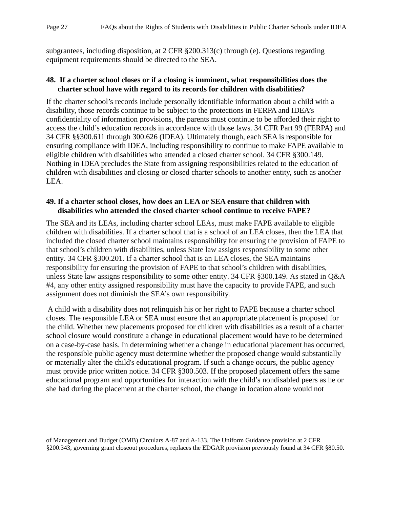subgrantees, including disposition, at 2 CFR §200.313(c) through (e). Questions regarding equipment requirements should be directed to the SEA.

#### <span id="page-31-0"></span>**48. If a charter school closes or if a closing is imminent, what responsibilities does the charter school have with regard to its records for children with disabilities?**

If the charter school's records include personally identifiable information about a child with a disability, those records continue to be subject to the protections in FERPA and IDEA's confidentiality of information provisions, the parents must continue to be afforded their right to access the child's education records in accordance with those laws. 34 CFR Part 99 (FERPA) and 34 CFR §§300.611 through 300.626 (IDEA). Ultimately though, each SEA is responsible for ensuring compliance with IDEA, including responsibility to continue to make FAPE available to eligible children with disabilities who attended a closed charter school. 34 CFR §300.149. Nothing in IDEA precludes the State from assigning responsibilities related to the education of children with disabilities and closing or closed charter schools to another entity, such as another LEA.

## <span id="page-31-1"></span>**49. If a charter school closes, how does an LEA or SEA ensure that children with disabilities who attended the closed charter school continue to receive FAPE?**

The SEA and its LEAs, including charter school LEAs, must make FAPE available to eligible children with disabilities. If a charter school that is a school of an LEA closes, then the LEA that included the closed charter school maintains responsibility for ensuring the provision of FAPE to that school's children with disabilities, unless State law assigns responsibility to some other entity. 34 CFR §300.201. If a charter school that is an LEA closes, the SEA maintains responsibility for ensuring the provision of FAPE to that school's children with disabilities, unless State law assigns responsibility to some other entity. 34 CFR §300.149. As stated in Q&A #4, any other entity assigned responsibility must have the capacity to provide FAPE, and such assignment does not diminish the SEA's own responsibility.

A child with a disability does not relinquish his or her right to FAPE because a charter school closes. The responsible LEA or SEA must ensure that an appropriate placement is proposed for the child. Whether new placements proposed for children with disabilities as a result of a charter school closure would constitute a change in educational placement would have to be determined on a case-by-case basis. In determining whether a change in educational placement has occurred, the responsible public agency must determine whether the proposed change would substantially or materially alter the child's educational program. If such a change occurs, the public agency must provide prior written notice. 34 CFR §300.503. If the proposed placement offers the same educational program and opportunities for interaction with the child's nondisabled peers as he or she had during the placement at the charter school, the change in location alone would not

of Management and Budget (OMB) Circulars A-87 and A-133. The Uniform Guidance provision at 2 CFR §200.343, governing grant closeout procedures, replaces the EDGAR provision previously found at 34 CFR §80.50.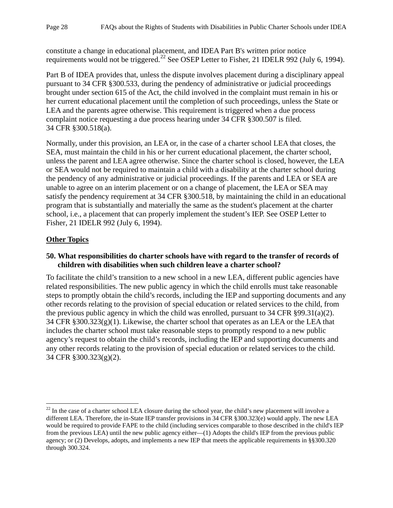constitute a change in educational placement, and IDEA Part B's written prior notice requirements would not be triggered.<sup>[22](#page-32-2)</sup> See OSEP Letter to Fisher, 21 IDELR 992 (July 6, 1994).

Part B of IDEA provides that, unless the dispute involves placement during a disciplinary appeal pursuant to 34 CFR §300.533, during the pendency of administrative or judicial proceedings brought under section 615 of the Act, the child involved in the complaint must remain in his or her current educational placement until the completion of such proceedings, unless the State or LEA and the parents agree otherwise. This requirement is triggered when a due process complaint notice requesting a due process hearing under 34 CFR §300.507 is filed. 34 CFR §300.518(a).

Normally, under this provision, an LEA or, in the case of a charter school LEA that closes, the SEA, must maintain the child in his or her current educational placement, the charter school, unless the parent and LEA agree otherwise. Since the charter school is closed, however, the LEA or SEA would not be required to maintain a child with a disability at the charter school during the pendency of any administrative or judicial proceedings. If the parents and LEA or SEA are unable to agree on an interim placement or on a change of placement, the LEA or SEA may satisfy the pendency requirement at 34 CFR §300.518, by maintaining the child in an educational program that is substantially and materially the same as the student's placement at the charter school, i.e., a placement that can properly implement the student's IEP. See OSEP Letter to Fisher, 21 IDELR 992 (July 6, 1994).

# <span id="page-32-0"></span>**Other Topics**

## <span id="page-32-1"></span>**50. What responsibilities do charter schools have with regard to the transfer of records of children with disabilities when such children leave a charter school?**

To facilitate the child's transition to a new school in a new LEA, different public agencies have related responsibilities. The new public agency in which the child enrolls must take reasonable steps to promptly obtain the child's records, including the IEP and supporting documents and any other records relating to the provision of special education or related services to the child, from the previous public agency in which the child was enrolled, pursuant to 34 CFR §99.31(a)(2). 34 CFR §300.323(g)(1). Likewise, the charter school that operates as an LEA or the LEA that includes the charter school must take reasonable steps to promptly respond to a new public agency's request to obtain the child's records, including the IEP and supporting documents and any other records relating to the provision of special education or related services to the child. 34 CFR §300.323(g)(2).

<span id="page-32-2"></span> $22$  In the case of a charter school LEA closure during the school year, the child's new placement will involve a different LEA. Therefore, the in-State IEP transfer provisions in 34 CFR §300.323(e) would apply. The new LEA would be required to provide FAPE to the child (including services comparable to those described in the child's IEP from the previous LEA) until the new public agency either—(1) Adopts the child's IEP from the previous public agency; or (2) Develops, adopts, and implements a new IEP that meets the applicable requirements in §§300.320 through 300.324.  $\overline{\phantom{a}}$